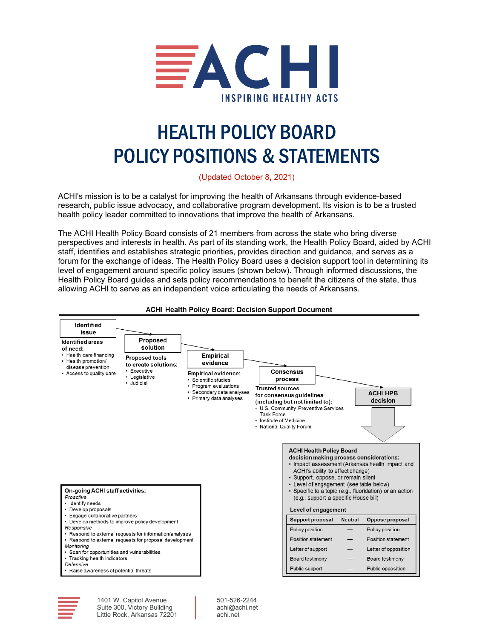<span id="page-0-0"></span>

# HEALTH POLICY BOARD POLICY POSITIONS & STATEMENTS

(Updated October 8**,** 2021)

ACHI's mission is to be a catalyst for improving the health of Arkansans through evidence-based research, public issue advocacy, and collaborative program development. Its vision is to be a trusted health policy leader committed to innovations that improve the health of Arkansans.

The ACHI Health Policy Board consists of 21 members from across the state who bring diverse perspectives and interests in health. As part of its standing work, the Health Policy Board, aided by ACHI staff, identifies and establishes strategic priorities, provides direction and guidance, and serves as a forum for the exchange of ideas. The Health Policy Board uses a decision support tool in determining its level of engagement around specific policy issues (shown below). Through informed discussions, the Health Policy Board guides and sets policy recommendations to benefit the citizens of the state, thus allowing ACHI to serve as an independent voice articulating the needs of Arkansans.



#### **ACHI Health Policy Board: Decision Support Document**



1401 W. Capitol Avenue Suite 300, Victory Building Little Rock, Arkansas 72201 501-526-2244 achi@achi.net achi.net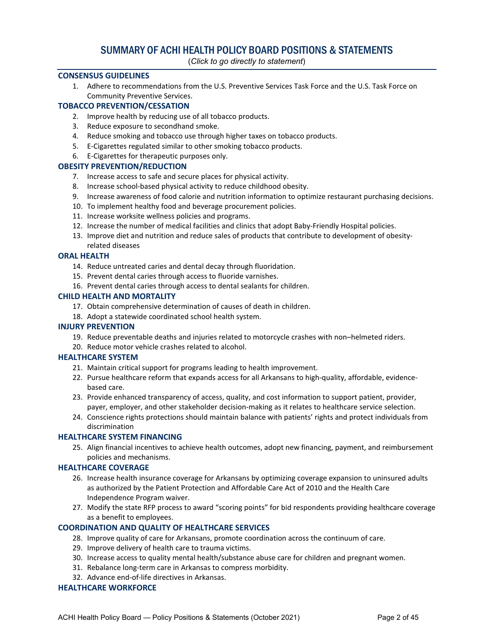## SUMMARY OF ACHI HEALTH POLICY BOARD POSITIONS & STATEMENTS

(*Click to go directly to statement*)

#### **[CONSENSUS GUIDELINES](#page-3-0)**

1. [Adhere to recommendations from the U.S. Preventive Services Task Force and the U.S. Task Force on](#page-3-1)  [Community Preventive Services.](#page-3-1)

#### **[TOBACCO PREVENTION/CESSATION](#page-4-0)**

- 2. [Improve health by reducing use of all tobacco products.](#page-4-1)
- 3. [Reduce exposure to secondhand smoke.](#page-5-0)
- 4. [Reduce smoking and tobacco use through higher taxes on tobacco products.](#page-6-0)
- 5. [E-Cigarettes regulated similar to other smoking tobacco products.](#page-6-1)
- 6. [E-Cigarettes for therapeutic purposes only.](#page-7-0)

#### **[OBESITY PREVENTION/REDUCTION](#page-8-0)**

- 7. [Increase access to safe and secure places for physical activity.](#page-8-1)
- 8. [Increase school-based physical activity to reduce childhood obesity.](#page-9-0)
- 9. [Increase awareness of food calorie and nutrition information to optimize restaurant purchasing decisions.](#page-9-1)
- 10. [To implement healthy food and beverage procurement policies.](#page-10-0)
- 11. [Increase worksite wellness policies and programs.](#page-11-0)
- 12. [Increase the number of medical facilities and clinics that adopt Baby-Friendly Hospital policies.](#page-12-0)
- 13. [Improve diet and nutrition and reduce sales of products that contribute to development of obesity](#page-13-0)[related diseases](#page-13-0)

#### **[ORAL HEALTH](#page-13-1)**

- 14. [Reduce untreated caries and dental decay through fluoridation.](#page-13-2)
- 15. [Prevent dental caries through access to fluoride varnishes.](#page-14-0)
- 16. [Prevent dental caries through access to dental sealants for children.](#page-15-0)

#### **[CHILD HEALTH AND MORTALITY](#page-15-1)**

- 17. [Obtain comprehensive determination of causes of death in children.](#page-15-2)
- 18. [Adopt a statewide coordinated school health system.](#page-16-0)

#### **[INJURY PREVENTION](#page-18-0)**

- 19. [Reduce preventable deaths and injuries related to motorcycle crashes with non–helmeted riders.](#page-18-1)
- 20. [Reduce motor vehicle crashes related to alcohol.](#page-19-0)

#### **[HEALTHCARE SYSTEM](#page-20-0)**

- 21. [Maintain critical support for programs leading to health improvement.](#page-20-1)
- 22. [Pursue healthcare reform that expands access for all Arkansans to high-quality, affordable, evidence](#page-20-2)[based care.](#page-20-2)
- 23. [Provide enhanced transparency of access, quality, and cost](#page-20-3) information to support patient, provider, [payer, employer, and other stakeholder decision-making as it relates to healthcare service selection.](#page-20-3)
- 24. [Conscience rights protections should maintain balance with patients' rights and protect individuals from](#page-21-0)  [discrimination](#page-21-0)

#### **[HEALTHCARE SYSTEM FINANCING](#page-21-1)**

25. [Align financial incentives to achieve health outcomes, adopt new financing, payment, and reimbursement](#page-21-2)  [policies and mechanisms.](#page-21-2)

#### **[HEALTHCARE COVERAGE](#page-22-0)**

- 26. [Increase health insurance coverage for Arkansans by optimizing coverage expansion to uninsured adults](#page-22-1)  [as authorized by the Patient Protection and Affordable Care Act of 2010 and the Health Care](#page-22-1)  [Independence Program waiver.](#page-22-1)
- 27. [Modify the state RFP process to award "scoring points" for bid respondents providing healthcare coverage](#page-23-0)  [as a benefit to employees.](#page-23-0)

#### **[COORDINATION AND QUALITY OF HEALTHCARE SERVICES](#page-24-0)**

- 28. [Improve quality of care for Arkansans, promote coordination across the continuum of care.](#page-24-1)
- 29. [Improve delivery of health care to trauma victims.](#page-24-2)
- 30. [Increase access to quality mental health/substance abuse care for children and pregnant women.](#page-25-0)
- 31. [Rebalance long-term care in Arkansas to compress morbidity.](#page-26-0)
- 32. [Advance end-of-life directives in Arkansas.](#page-28-0)

#### **[HEALTHCARE WORKFORCE](#page-28-1)**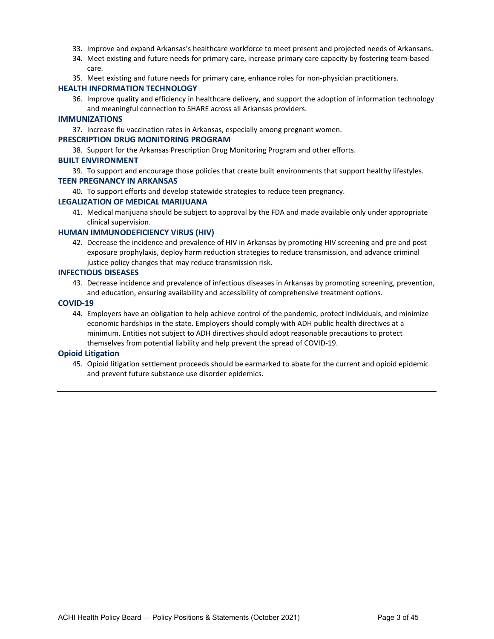- 33. [Improve and expand Arkansas's healthcare workforce to meet present and projected needs of Arkansans.](#page-28-2)
- 34. [Meet existing and future needs for primary care, increase primary care capacity by fostering team-based](#page-29-0)  [care.](#page-29-0)
- 35. [Meet existing and future needs for primary care, enhance roles for non-physician practitioners.](#page-29-1)

#### **[HEALTH INFORMATION TECHNOLOGY](#page-30-0)**

36. [Improve quality and efficiency in healthcare delivery, and support the adoption of information technology](#page-30-1)  [and meaningful connection to SHARE across all Arkansas providers.](#page-30-1)

#### **[IMMUNIZATIONS](#page-31-0)**

37. [Increase flu vaccination rates in Arkansas, especially among pregnant women.](#page-31-1)

#### **[PRESCRIPTION DRUG MONITORING PROGRAM](#page-32-0)**

38. [Support for the Arkansas Prescription Drug Monitoring Program and other efforts.](#page-32-1)

#### **[BUILT ENVIRONMENT](#page-33-0)**

39. [To support and encourage those policies that create built environments that support healthy lifestyles.](#page-33-1) **[TEEN PREGNANCY IN ARKANSAS](#page-34-0)**

40. [To support efforts and develop statewide strategies to reduce teen pregnancy.](#page-34-1)

#### **[LEGALIZATION OF MEDICAL MARIJUANA](#page-35-0)**

41. [Medical marijuana should be subject to approval by the FDA and made available only under appropriate](#page-35-1)  [clinical supervision.](#page-35-1)

#### **[HUMAN IMMUNODEFICIENCY VIRUS \(HIV\)](#page-38-0)**

42. [Decrease the incidence and prevalence of HIV in Arkansas by promoting HIV screening and pre and post](#page-38-1)  [exposure prophylaxis, deploy harm reduction strategies to reduce transmission, and advance criminal](#page-38-1)  [justice policy changes that may reduce transmission risk.](#page-38-1)

#### **[INFECTIOUS DISEASES](#page-39-0)**

43. [Decrease incidence and prevalence of infectious diseases in Arkansas by promoting screening, prevention,](#page-39-1)  [and education, ensuring availability and accessibility of comprehensive treatment options.](#page-39-1)

#### **[COVID-19](#page-42-0)**

44. [Employers have an obligation to help achieve control of the pandemic, protect individuals, and minimize](#page-42-1)  [economic hardships in the state. Employers should comply with ADH public health directives at a](#page-42-1)  [minimum. Entities not subject to ADH directives should adopt reasonable precautions to protect](#page-42-1)  [themselves from potential liability and help prevent the spread of COVID-19.](#page-42-1)

#### **[Opioid Litigation](#page-44-0)**

45. [Opioid litigation settlement proceeds should be earmarked to abate for the current and opioid epidemic](#page-44-1)  [and prevent future substance use disorder epidemics.](#page-44-1)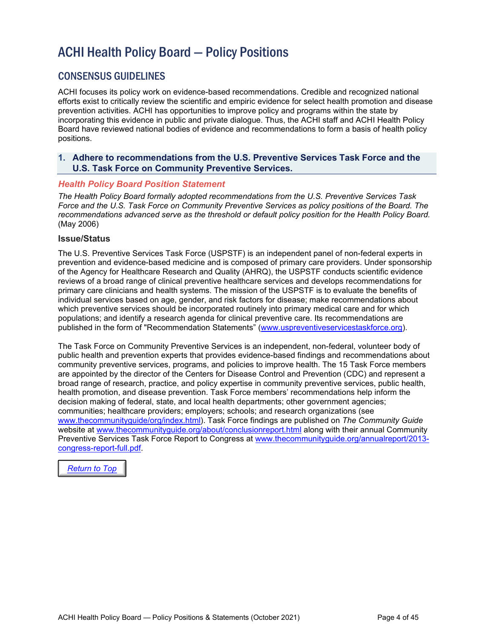## ACHI Health Policy Board — Policy Positions

## <span id="page-3-0"></span>CONSENSUS GUIDELINES

ACHI focuses its policy work on evidence-based recommendations. Credible and recognized national efforts exist to critically review the scientific and empiric evidence for select health promotion and disease prevention activities. ACHI has opportunities to improve policy and programs within the state by incorporating this evidence in public and private dialogue. Thus, the ACHI staff and ACHI Health Policy Board have reviewed national bodies of evidence and recommendations to form a basis of health policy positions.

#### <span id="page-3-1"></span>**1. Adhere to recommendations from the U.S. Preventive Services Task Force and the U.S. Task Force on Community Preventive Services.**

#### *Health Policy Board Position Statement*

*The Health Policy Board formally adopted recommendations from the U.S. Preventive Services Task Force and the U.S. Task Force on Community Preventive Services as policy positions of the Board. The recommendations advanced serve as the threshold or default policy position for the Health Policy Board.*  (May 2006)

#### **Issue/Status**

The U.S. Preventive Services Task Force (USPSTF) is an independent panel of non-federal experts in prevention and evidence-based medicine and is composed of primary care providers. Under sponsorship of the Agency for Healthcare Research and Quality (AHRQ), the USPSTF conducts scientific evidence reviews of a broad range of clinical preventive healthcare services and develops recommendations for primary care clinicians and health systems. The mission of the USPSTF is to evaluate the benefits of individual services based on age, gender, and risk factors for disease; make recommendations about which preventive services should be incorporated routinely into primary medical care and for which populations; and identify a research agenda for clinical preventive care. Its recommendations are published in the form of "Recommendation Statements" [\(www.uspreventiveservicestaskforce.org\)](http://www.uspreventiveservicestaskforce.org/).

The Task Force on Community Preventive Services is an independent, non-federal, volunteer body of public health and prevention experts that provides evidence-based findings and recommendations about community preventive services, programs, and policies to improve health. The 15 Task Force members are appointed by the director of the Centers for Disease Control and Prevention (CDC) and represent a broad range of research, practice, and policy expertise in community preventive services, public health, health promotion, and disease prevention. Task Force members' recommendations help inform the decision making of federal, state, and local health departments; other government agencies; communities; healthcare providers; employers; schools; and research organizations (see [www.thecommunityguide/org/index.html\)](http://www.thecommunityguide/org/index.html). Task Force findings are published on *The Community Guide* website at [www.thecommunityguide.org/about/conclusionreport.html](http://www.thecommunityguide.org/about/conclusionreport.html) along with their annual Community Preventive Services Task Force Report to Congress at www.thecommunityguide.org/annualreport/2013 congress-report-full.pdf.

*[Return to Top](#page-0-0)*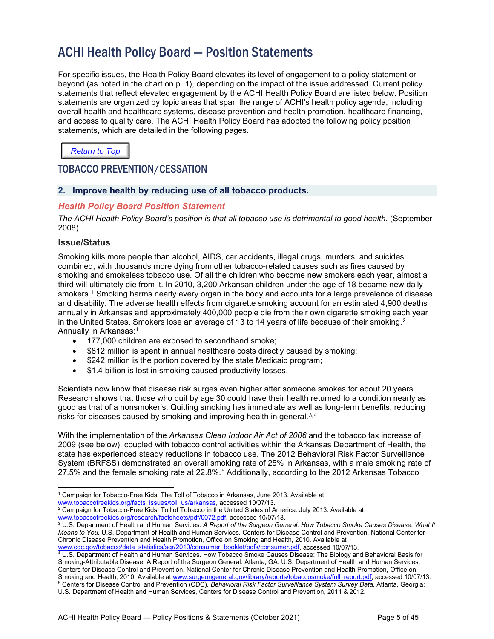## ACHI Health Policy Board — Position Statements

For specific issues, the Health Policy Board elevates its level of engagement to a policy statement or beyond (as noted in the chart on p. 1), depending on the impact of the issue addressed. Current policy statements that reflect elevated engagement by the ACHI Health Policy Board are listed below. Position statements are organized by topic areas that span the range of ACHI's health policy agenda, including overall health and healthcare systems, disease prevention and health promotion, healthcare financing, and access to quality care. The ACHI Health Policy Board has adopted the following policy position statements, which are detailed in the following pages.

*[Return to Top](#page-0-0)*

## <span id="page-4-0"></span>TOBACCO PREVENTION/CESSATION

#### <span id="page-4-1"></span>**2. Improve health by reducing use of all tobacco products.**

#### *Health Policy Board Position Statement*

*The ACHI Health Policy Board's position is that all tobacco use is detrimental to good health*. (September 2008)

#### **Issue/Status**

<span id="page-4-2"></span>Smoking kills more people than alcohol, AIDS, car accidents, illegal drugs, murders, and suicides combined, with thousands more dying from other tobacco-related causes such as fires caused by smoking and smokeless tobacco use. Of all the children who become new smokers each year, almost a third will ultimately die from it. In 2010, 3,200 Arkansan children under the age of 18 became new daily smokers.<sup>[1](#page-4-3)</sup> Smoking harms nearly every organ in the body and accounts for a large prevalence of disease and disability. The adverse health effects from cigarette smoking account for an estimated 4,900 deaths annually in Arkansas and approximately 400,000 people die from their own cigarette smoking each year in the United States. Smokers lose an average of 13 to 14 years of life because of their smoking.<sup>[2](#page-4-4)</sup> Annually in Arkansas[:1](#page-4-2)

- 177,000 children are exposed to secondhand smoke;
- \$812 million is spent in annual healthcare costs directly caused by smoking;
- \$242 million is the portion covered by the state Medicaid program;
- \$1.4 billion is lost in smoking caused productivity losses.

Scientists now know that disease risk surges even higher after someone smokes for about 20 years. Research shows that those who quit by age 30 could have their health returned to a condition nearly as good as that of a nonsmoker's. Quitting smoking has immediate as well as long-term benefits, reducing risks for diseases caused by smoking and improving health in general.<sup>[3,](#page-4-5)[4](#page-4-6)</sup>

With the implementation of the *Arkansas Clean Indoor Air Act of 2006* and the tobacco tax increase of 2009 (see below), coupled with tobacco control activities within the Arkansas Department of Health, the state has experienced steady reductions in tobacco use. The 2012 Behavioral Risk Factor Surveillance System (BRFSS) demonstrated an overall smoking rate of 25% in Arkansas, with a male smoking rate of 27.5% and the female smoking rate at 22.8%.[5](#page-4-7) Additionally, according to the 2012 Arkansas Tobacco

<span id="page-4-5"></span><sup>3</sup> U.S. Department of Health and Human Services. *A Report of the Surgeon General: How Tobacco Smoke Causes Disease: What It Means to You.* U.S. Department of Health and Human Services, Centers for Disease Control and Prevention, National Center for Chronic Disease Prevention and Health Promotion, Office on Smoking and Health, 2010. Available at [www.cdc.gov/tobacco/data\\_statistics/sgr/2010/consumer\\_booklet/pdfs/consumer.pdf,](file://hosp1serv1/achi_apps/Strategic%20Initiatives/ACHI%20Health%20Policy%20Board/HPB%20Position%20Statements/Revisions%20for%202014/www.cdc.gov/tobacco/data_statistics/sgr/2010/consumer_booklet/pdfs/consumer.pdf) accessed 10/07/13.

<span id="page-4-7"></span><span id="page-4-6"></span><sup>4</sup> U.S. Department of Health and Human Services. How Tobacco Smoke Causes Disease: The Biology and Behavioral Basis for Smoking-Attributable Disease: A Report of the Surgeon General. Atlanta, GA: U.S. Department of Health and Human Services, Centers for Disease Control and Prevention, National Center for Chronic Disease Prevention and Health Promotion, Office on Smoking and Health, 2010. Available a[t www.surgeongeneral.gov/library/reports/tobaccosmoke/full\\_report.pdf,](http://www.surgeongeneral.gov/library/reports/tobaccosmoke/full_report.pdf) accessed 10/07/13. <sup>5</sup> Centers for Disease Control and Prevention (CDC). *Behavioral Risk Factor Surveillance System Survey Data.* Atlanta, Georgia: U.S. Department of Health and Human Services, Centers for Disease Control and Prevention, 2011 & 2012.

<span id="page-4-3"></span><sup>1</sup> Campaign for Tobacco-Free Kids. The Toll of Tobacco in Arkansas, June 2013. Available at

<sup>&</sup>lt;u>[www.tobaccofreekids.org/facts\\_issues/toll\\_us/arkansas,](file://hosp1serv1/achi_apps/Strategic%20Initiatives/ACHI%20Health%20Policy%20Board/HPB%20Position%20Statements/Revisions%20for%202014/www.tobaccofreekids.org/facts_issues/toll_us/arkansas)</u> accessed 10/07/13.

<span id="page-4-4"></span> $^2$  Campaign for Tobacco-Free Kids. Toll of Tobacco in the United States of America. July 2013. Available at [www.tobaccofreekids.org/research/factsheets/pdf/0072.pdf,](http://www.tobaccofreekids.org/research/factsheets/pdf/0072.pdf) accessed 10/07/13.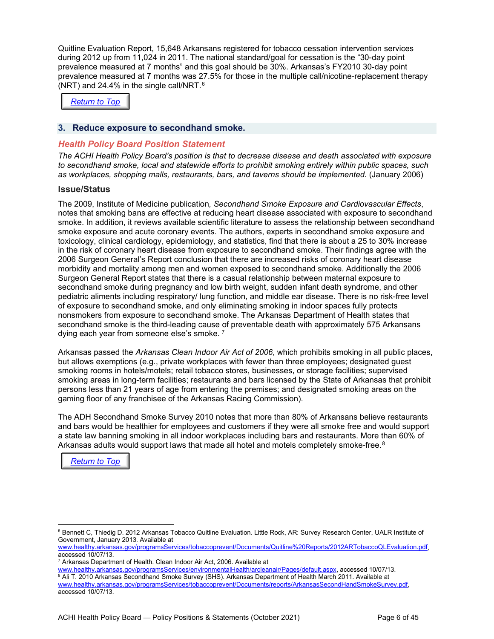Quitline Evaluation Report, 15,648 Arkansans registered for tobacco cessation intervention services during 2012 up from 11,024 in 2011. The national standard/goal for cessation is the "30-day point prevalence measured at 7 months" and this goal should be 30%. Arkansas's FY2010 30-day point prevalence measured at 7 months was 27.5% for those in the multiple call/nicotine-replacement therapy (NRT) and 24.4% in the single call/NRT.[6](#page-5-1)



#### <span id="page-5-0"></span>**3. Reduce exposure to secondhand smoke.**

#### *Health Policy Board Position Statement*

*The ACHI Health Policy Board's position is that to decrease disease and death associated with exposure to secondhand smoke, local and statewide efforts to prohibit smoking entirely within public spaces, such as workplaces, shopping malls, restaurants, bars, and taverns should be implemented.* (January 2006)

#### **Issue/Status**

The 2009, Institute of Medicine publication*, Secondhand Smoke Exposure and Cardiovascular Effects*, notes that smoking bans are effective at reducing heart disease associated with exposure to secondhand smoke. In addition, it reviews available scientific literature to assess the relationship between secondhand smoke exposure and acute coronary events. The authors, experts in secondhand smoke exposure and toxicology, clinical cardiology, epidemiology, and statistics, find that there is about a 25 to 30% increase in the risk of coronary heart disease from exposure to secondhand smoke. Their findings agree with the 2006 Surgeon General's Report conclusion that there are increased risks of coronary heart disease morbidity and mortality among men and women exposed to secondhand smoke. Additionally the 2006 Surgeon General Report states that there is a casual relationship between maternal exposure to secondhand smoke during pregnancy and low birth weight, sudden infant death syndrome, and other pediatric aliments including respiratory/ lung function, and middle ear disease. There is no risk-free level of exposure to secondhand smoke, and only eliminating smoking in indoor spaces fully protects nonsmokers from exposure to secondhand smoke. The Arkansas Department of Health states that secondhand smoke is the third-leading cause of preventable death with approximately 575 Arkansans dying each year from someone else's smoke. [7](#page-5-2)

Arkansas passed the *Arkansas Clean Indoor Air Act of 2006*, which prohibits smoking in all public places, but allows exemptions (e.g., private workplaces with fewer than three employees; designated guest smoking rooms in hotels/motels; retail tobacco stores, businesses, or storage facilities; supervised smoking areas in long-term facilities; restaurants and bars licensed by the State of Arkansas that prohibit persons less than 21 years of age from entering the premises; and designated smoking areas on the gaming floor of any franchisee of the Arkansas Racing Commission).

The ADH Secondhand Smoke Survey 2010 notes that more than 80% of Arkansans believe restaurants and bars would be healthier for employees and customers if they were all smoke free and would support a state law banning smoking in all indoor workplaces including bars and restaurants. More than 60% of Arkansas adults would support laws that made all hotel and motels completely smoke-free.<sup>[8](#page-5-3)</sup>

*[Return to Top](#page-0-0)*

<span id="page-5-1"></span><sup>6</sup> Bennett C, Thiedig D. 2012 Arkansas Tobacco Quitline Evaluation. Little Rock, AR: Survey Research Center, UALR Institute of Government, January 2013. Available at

[www.healthy.arkansas.gov/programsServices/tobaccoprevent/Documents/Quitline%20Reports/2012ARTobaccoQLEvaluation.pdf,](http://www.healthy.arkansas.gov/programsServices/tobaccoprevent/Documents/Quitline%20Reports/2012ARTobaccoQLEvaluation.pdf) accessed 10/07/13.

<sup>&</sup>lt;sup>7</sup> Arkansas Department of Health. Clean Indoor Air Act, 2006. Available at

<span id="page-5-3"></span><span id="page-5-2"></span>[www.healthy.arkansas.gov/programsServices/environmentalHealth/arcleanair/Pages/default.aspx,](http://www.healthy.arkansas.gov/programsServices/environmentalHealth/arcleanair/Pages/default.aspx) accessed 10/07/13. 8 Ali T. 2010 Arkansas Secondhand Smoke Survey (SHS). Arkansas Department of Health March 2011. Available at [www.healthy.arkansas.gov/programsServices/tobaccoprevent/Documents/reports/ArkansasSecondHandSmokeSurvey.pdf,](http://www.healthy.arkansas.gov/programsServices/tobaccoprevent/Documents/reports/ArkansasSecondHandSmokeSurvey.pdf)  accessed 10/07/13.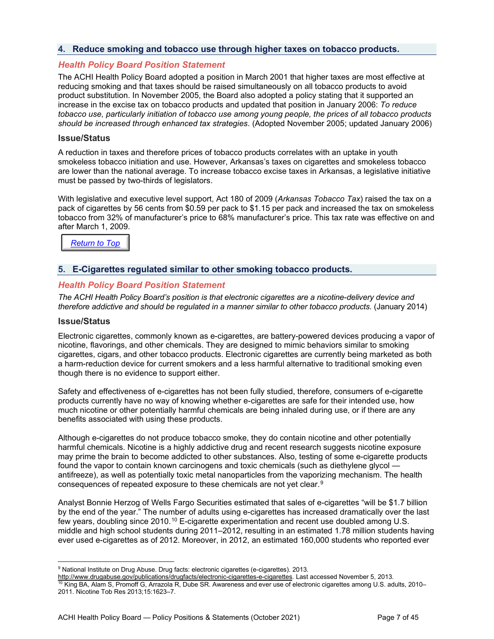#### <span id="page-6-0"></span>**4. Reduce smoking and tobacco use through higher taxes on tobacco products.**

#### *Health Policy Board Position Statement*

The ACHI Health Policy Board adopted a position in March 2001 that higher taxes are most effective at reducing smoking and that taxes should be raised simultaneously on all tobacco products to avoid product substitution. In November 2005, the Board also adopted a policy stating that it supported an increase in the excise tax on tobacco products and updated that position in January 2006: *To reduce tobacco use, particularly initiation of tobacco use among young people, the prices of all tobacco products should be increased through enhanced tax strategies*. (Adopted November 2005; updated January 2006)

#### **Issue/Status**

A reduction in taxes and therefore prices of tobacco products correlates with an uptake in youth smokeless tobacco initiation and use. However, Arkansas's taxes on cigarettes and smokeless tobacco are lower than the national average. To increase tobacco excise taxes in Arkansas, a legislative initiative must be passed by two-thirds of legislators.

With legislative and executive level support, Act 180 of 2009 (*Arkansas Tobacco Tax*) raised the tax on a pack of cigarettes by 56 cents from \$0.59 per pack to \$1.15 per pack and increased the tax on smokeless tobacco from 32% of manufacturer's price to 68% manufacturer's price. This tax rate was effective on and after March 1, 2009.

*[Return to Top](#page-0-0)*

#### <span id="page-6-1"></span>**5. E-Cigarettes regulated similar to other smoking tobacco products.**

#### *Health Policy Board Position Statement*

*The ACHI Health Policy Board's position is that electronic cigarettes are a nicotine-delivery device and therefore addictive and should be regulated in a manner similar to other tobacco products.* (January 2014)

#### **Issue/Status**

Electronic cigarettes, commonly known as e-cigarettes, are battery-powered devices producing a vapor of nicotine, flavorings, and other chemicals. They are designed to mimic behaviors similar to smoking cigarettes, cigars, and other tobacco products. Electronic cigarettes are currently being marketed as both a harm-reduction device for current smokers and a less harmful alternative to traditional smoking even though there is no evidence to support either.

Safety and effectiveness of e-cigarettes has not been fully studied, therefore, consumers of e-cigarette products currently have no way of knowing whether e-cigarettes are safe for their intended use, how much nicotine or other potentially harmful chemicals are being inhaled during use, or if there are any benefits associated with using these products.

Although e-cigarettes do not produce tobacco smoke, they do contain nicotine and other potentially harmful chemicals. Nicotine is a highly addictive drug and recent research suggests nicotine exposure may prime the brain to become addicted to other substances. Also, testing of some e-cigarette products found the vapor to contain known carcinogens and toxic chemicals (such as diethylene glycol antifreeze), as well as potentially toxic metal nanoparticles from the vaporizing mechanism. The health consequences of repeated exposure to these chemicals are not yet clear.[9](#page-6-2)

Analyst Bonnie Herzog of Wells Fargo Securities estimated that sales of e-cigarettes "will be \$1.7 billion by the end of the year." The number of adults using e-cigarettes has increased dramatically over the last few years, doubling since 20[10](#page-6-3).<sup>10</sup> E-cigarette experimentation and recent use doubled among U.S. middle and high school students during 2011–2012, resulting in an estimated 1.78 million students having ever used e-cigarettes as of 2012. Moreover, in 2012, an estimated 160,000 students who reported ever

<span id="page-6-2"></span><sup>&</sup>lt;sup>9</sup> National Institute on Drug Abuse. Drug facts: electronic cigarettes (e-cigarettes). 2013.

<span id="page-6-3"></span>[http://www.drugabuse.gov/publications/drugfacts/electronic-cigarettes-e-cigarettes.](http://www.drugabuse.gov/publications/drugfacts/electronic-cigarettes-e-cigarettes) Last accessed November 5, 2013.  $^{10}$  King BA, Alam S, Promoff G, Arrazola R, Dube SR. Awareness and ever use of electronic cigarettes among U.S. adults, 2010– 2011. Nicotine Tob Res 2013;15:1623–7.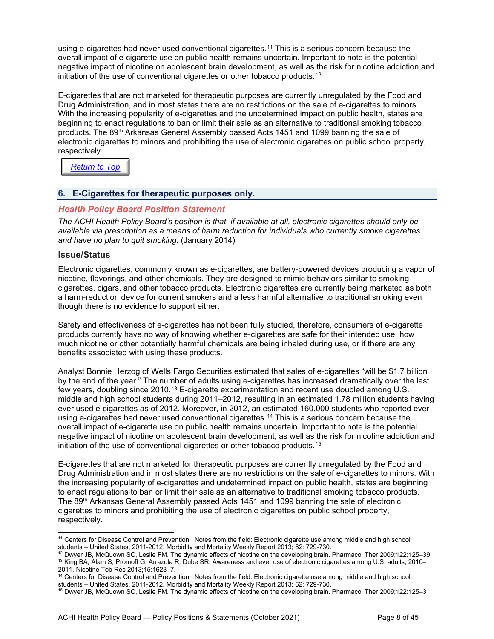using e-cigarettes had never used conventional cigarettes.<sup>[11](#page-7-1)</sup> This is a serious concern because the overall impact of e-cigarette use on public health remains uncertain. Important to note is the potential negative impact of nicotine on adolescent brain development, as well as the risk for nicotine addiction and initiation of the use of conventional cigarettes or other tobacco products.<sup>[12](#page-7-2)</sup>

E-cigarettes that are not marketed for therapeutic purposes are currently unregulated by the Food and Drug Administration, and in most states there are no restrictions on the sale of e-cigarettes to minors. With the increasing popularity of e-cigarettes and the undetermined impact on public health, states are beginning to enact regulations to ban or limit their sale as an alternative to traditional smoking tobacco products. The 89<sup>th</sup> Arkansas General Assembly passed Acts 1451 and 1099 banning the sale of electronic cigarettes to minors and prohibiting the use of electronic cigarettes on public school property, respectively.

*[Return to Top](#page-0-0)*

#### <span id="page-7-0"></span>**6. E-Cigarettes for therapeutic purposes only.**

#### *Health Policy Board Position Statement*

*The ACHI Health Policy Board's position is that, if available at all, electronic cigarettes should only be available via prescription as a means of harm reduction for individuals who currently smoke cigarettes and have no plan to quit smoking*. (January 2014)

#### **Issue/Status**

Electronic cigarettes, commonly known as e-cigarettes, are battery-powered devices producing a vapor of nicotine, flavorings, and other chemicals. They are designed to mimic behaviors similar to smoking cigarettes, cigars, and other tobacco products. Electronic cigarettes are currently being marketed as both a harm-reduction device for current smokers and a less harmful alternative to traditional smoking even though there is no evidence to support either.

Safety and effectiveness of e-cigarettes has not been fully studied, therefore, consumers of e-cigarette products currently have no way of knowing whether e-cigarettes are safe for their intended use, how much nicotine or other potentially harmful chemicals are being inhaled during use, or if there are any benefits associated with using these products.

Analyst Bonnie Herzog of Wells Fargo Securities estimated that sales of e-cigarettes "will be \$1.7 billion by the end of the year." The number of adults using e-cigarettes has increased dramatically over the last few years, doubling since 2010.[13](#page-7-3) E-cigarette experimentation and recent use doubled among U.S. middle and high school students during 2011–2012, resulting in an estimated 1.78 million students having ever used e-cigarettes as of 2012. Moreover, in 2012, an estimated 160,000 students who reported ever using e-cigarettes had never used conventional cigarettes.[14](#page-7-4) This is a serious concern because the overall impact of e-cigarette use on public health remains uncertain. Important to note is the potential negative impact of nicotine on adolescent brain development, as well as the risk for nicotine addiction and initiation of the use of conventional cigarettes or other tobacco products.[15](#page-7-5)

E-cigarettes that are not marketed for therapeutic purposes are currently unregulated by the Food and Drug Administration and in most states there are no restrictions on the sale of e-cigarettes to minors. With the increasing popularity of e-cigarettes and undetermined impact on public health, states are beginning to enact regulations to ban or limit their sale as an alternative to traditional smoking tobacco products. The 89th Arkansas General Assembly passed Acts 1451 and 1099 banning the sale of electronic cigarettes to minors and prohibiting the use of electronic cigarettes on public school property, respectively.

<span id="page-7-1"></span><sup>&</sup>lt;sup>11</sup> Centers for Disease Control and Prevention. Notes from the field: Electronic cigarette use among middle and high school students – United States, 2011-2012. Morbidity and Mortality Weekly Report 2013; 62: 729-730.

<span id="page-7-3"></span><span id="page-7-2"></span><sup>12</sup> Dwyer JB, McQuown SC, Leslie FM. The dynamic effects of nicotine on the developing brain. Pharmacol Ther 2009;122:125–39. <sup>13</sup> King BA, Alam S, Promoff G, Arrazola R, Dube SR. Awareness and ever use of electronic cigarettes among U.S. adults, 2010– 2011. Nicotine Tob Res 2013;15:1623–7.

<span id="page-7-4"></span><sup>&</sup>lt;sup>14</sup> Centers for Disease Control and Prevention. Notes from the field: Electronic cigarette use among middle and high school students – United States, 2011-2012. Morbidity and Mortality Weekly Report 2013; 62: 729-730.

<span id="page-7-5"></span><sup>15</sup> Dwyer JB, McQuown SC, Leslie FM. The dynamic effects of nicotine on the developing brain. Pharmacol Ther 2009;122:125–3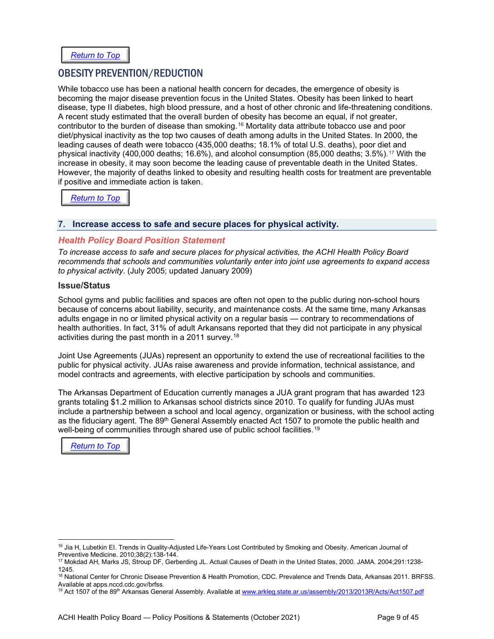## <span id="page-8-0"></span>OBESITY PREVENTION/REDUCTION

While tobacco use has been a national health concern for decades, the emergence of obesity is becoming the major disease prevention focus in the United States. Obesity has been linked to heart disease, type II diabetes, high blood pressure, and a host of other chronic and life-threatening conditions. A recent study estimated that the overall burden of obesity has become an equal, if not greater, contributor to the burden of disease than smoking.[16](#page-8-2) Mortality data attribute tobacco use and poor diet/physical inactivity as the top two causes of death among adults in the United States. In 2000, the leading causes of death were tobacco (435,000 deaths; 18.1% of total U.S. deaths), poor diet and physical inactivity (400,000 deaths; 16.6%), and alcohol consumption (85,000 deaths; 3.5%).<sup>[17](#page-8-3)</sup> With the increase in obesity, it may soon become the leading cause of preventable death in the United States. However, the majority of deaths linked to obesity and resulting health costs for treatment are preventable if positive and immediate action is taken.

*[Return to Top](#page-0-0)*

#### <span id="page-8-1"></span>**7. Increase access to safe and secure places for physical activity.**

#### *Health Policy Board Position Statement*

*To increase access to safe and secure places for physical activities, the ACHI Health Policy Board recommends that schools and communities voluntarily enter into joint use agreements to expand access to physical activity*. (July 2005; updated January 2009)

#### **Issue/Status**

School gyms and public facilities and spaces are often not open to the public during non-school hours because of concerns about liability, security, and maintenance costs. At the same time, many Arkansas adults engage in no or limited physical activity on a regular basis — contrary to recommendations of health authorities. In fact, 31% of adult Arkansans reported that they did not participate in any physical activities during the past month in a 2011 survey.<sup>[18](#page-8-4)</sup>

Joint Use Agreements (JUAs) represent an opportunity to extend the use of recreational facilities to the public for physical activity. JUAs raise awareness and provide information, technical assistance, and model contracts and agreements, with elective participation by schools and communities.

The Arkansas Department of Education currently manages a JUA grant program that has awarded 123 grants totaling \$1.2 million to Arkansas school districts since 2010. To qualify for funding JUAs must include a partnership between a school and local agency, organization or business, with the school acting as the fiduciary agent. The 89<sup>th</sup> General Assembly enacted Act 1507 to promote the public health and well-being of communities through shared use of public school facilities.<sup>[19](#page-8-5)</sup>

*[Return to Top](#page-0-0)*

<span id="page-8-2"></span><sup>&</sup>lt;sup>16</sup> Jia H, Lubetkin EI. Trends in Quality-Adjusted Life-Years Lost Contributed by Smoking and Obesity. American Journal of Preventive Medicine. 2010;38(2):138-144.

<span id="page-8-3"></span><sup>17</sup> Mokdad AH, Marks JS, Stroup DF, Gerberding JL. Actual Causes of Death in the United States, 2000. JAMA. 2004;291:1238- 1245.

<span id="page-8-4"></span><sup>&</sup>lt;sup>18</sup> National Center for Chronic Disease Prevention & Health Promotion, CDC. Prevalence and Trends Data, Arkansas 2011. BRFSS.<br>Available at apps.nccd.cdc.gov/brfss.

<span id="page-8-5"></span><sup>&</sup>lt;sup>19</sup> Act 1507 of the 89<sup>th</sup> Arkansas General Assembly. Available at [www.arkleg.state.ar.us/assembly/2013/2013R/Acts/Act1507.pdf](file://hosp1serv1/achi_apps/Strategic%20Initiatives/ACHI%20Health%20Policy%20Board/HPB%20Position%20Statements/Revisions%20for%202014/www.arkleg.state.ar.us/assembly/2013/2013R/Acts/Act1507.pdf)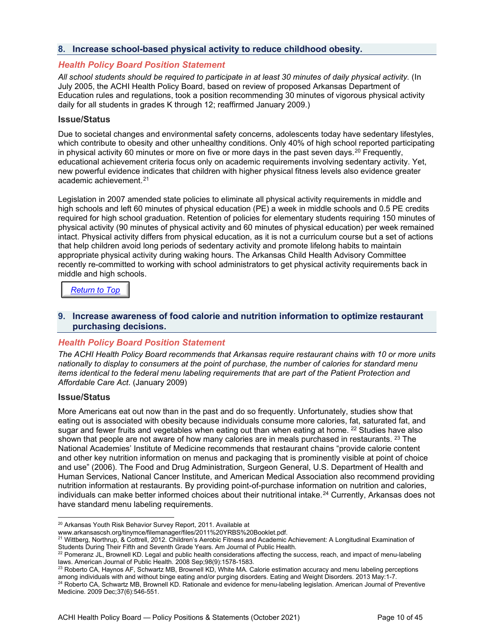#### <span id="page-9-0"></span>**8. Increase school-based physical activity to reduce childhood obesity.**

#### *Health Policy Board Position Statement*

All school students should be required to participate in at least 30 minutes of daily physical activity. (In July 2005, the ACHI Health Policy Board, based on review of proposed Arkansas Department of Education rules and regulations, took a position recommending 30 minutes of vigorous physical activity daily for all students in grades K through 12; reaffirmed January 2009.)

#### **Issue/Status**

Due to societal changes and environmental safety concerns, adolescents today have sedentary lifestyles, which contribute to obesity and other unhealthy conditions. Only 40% of high school reported participating in physical activity 60 minutes or more on five or more days in the past seven days.<sup>[20](#page-9-2)</sup> Frequently, educational achievement criteria focus only on academic requirements involving sedentary activity. Yet, new powerful evidence indicates that children with higher physical fitness levels also evidence greater academic achievement.[21](#page-9-3)

Legislation in 2007 amended state policies to eliminate all physical activity requirements in middle and high schools and left 60 minutes of physical education (PE) a week in middle schools and 0.5 PE credits required for high school graduation. Retention of policies for elementary students requiring 150 minutes of physical activity (90 minutes of physical activity and 60 minutes of physical education) per week remained intact. Physical activity differs from physical education, as it is not a curriculum course but a set of actions that help children avoid long periods of sedentary activity and promote lifelong habits to maintain appropriate physical activity during waking hours. The Arkansas Child Health Advisory Committee recently re-committed to working with school administrators to get physical activity requirements back in middle and high schools.

#### *[Return to Top](#page-0-0)*

#### <span id="page-9-1"></span>**9. Increase awareness of food calorie and nutrition information to optimize restaurant purchasing decisions.**

#### *Health Policy Board Position Statement*

*The ACHI Health Policy Board recommends that Arkansas require restaurant chains with 10 or more units nationally to display to consumers at the point of purchase, the number of calories for standard menu items identical to the federal menu labeling requirements that are part of the Patient Protection and Affordable Care Act*. (January 2009)

#### **Issue/Status**

More Americans eat out now than in the past and do so frequently. Unfortunately, studies show that eating out is associated with obesity because individuals consume more calories, fat, saturated fat, and sugar and fewer fruits and vegetables when eating out than when eating at home. <sup>[22](#page-9-4)</sup> Studies have also shown that people are not aware of how many calories are in meals purchased in restaurants. <sup>[23](#page-9-5)</sup> The National Academies' Institute of Medicine recommends that restaurant chains "provide calorie content and other key nutrition information on menus and packaging that is prominently visible at point of choice and use" (2006). The Food and Drug Administration, Surgeon General, U.S. Department of Health and Human Services, National Cancer Institute, and American Medical Association also recommend providing nutrition information at restaurants. By providing point-of-purchase information on nutrition and calories, individuals can make better informed choices about their nutritional intake.<sup>[24](#page-9-6)</sup> Currently, Arkansas does not have standard menu labeling requirements.

<span id="page-9-2"></span><sup>20</sup> Arkansas Youth Risk Behavior Survey Report, 2011. Available at

www.arkansascsh.org/tinymce/filemanager/files/2011%20YRBS%20Booklet.pdf.

<span id="page-9-3"></span><sup>21</sup> Wittberg, Northrup, & Cottrell, 2012. Children's Aerobic Fitness and Academic Achievement: A Longitudinal Examination of Students During Their Fifth and Seventh Grade Years. Am Journal of Public Health.

<span id="page-9-4"></span><sup>&</sup>lt;sup>22</sup> Pomeranz JL, Brownell KD. Legal and public health considerations affecting the success, reach, and impact of menu-labeling laws. American Journal of Public Health. 2008 Sep;98(9):1578-1583.

<span id="page-9-5"></span><sup>&</sup>lt;sup>23</sup> Roberto CA, Haynos AF, Schwartz MB, Brownell KD, White MA. Calorie estimation accuracy and menu labeling perceptions among individuals with and without binge eating and/or purging disorders. Eating and Weight Disorders. 2013 May:1-7.

<span id="page-9-6"></span><sup>&</sup>lt;sup>24</sup> Roberto CA, Schwartz MB, Brownell KD. Rationale and evidence for menu-labeling legislation. American Journal of Preventive Medicine. 2009 Dec;37(6):546-551.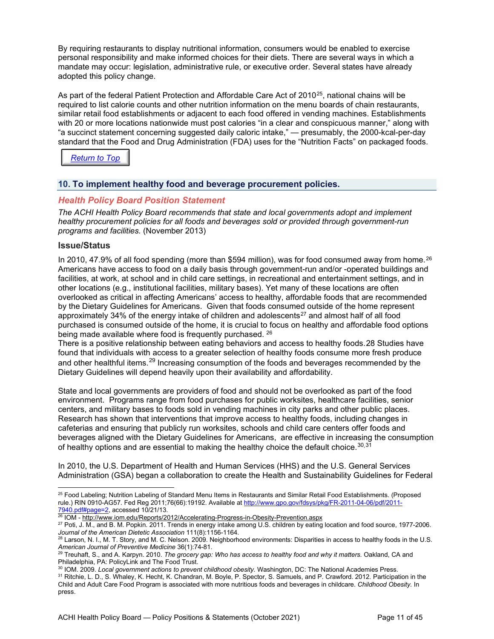By requiring restaurants to display nutritional information, consumers would be enabled to exercise personal responsibility and make informed choices for their diets. There are several ways in which a mandate may occur: legislation, administrative rule, or executive order. Several states have already adopted this policy change.

As part of the federal Patient Protection and Affordable Care Act of 2010<sup>25</sup>, national chains will be required to list calorie counts and other nutrition information on the menu boards of chain restaurants, similar retail food establishments or adjacent to each food offered in vending machines. Establishments with 20 or more locations nationwide must post calories "in a clear and conspicuous manner," along with "a succinct statement concerning suggested daily caloric intake," — presumably, the 2000-kcal-per-day standard that the Food and Drug Administration (FDA) uses for the "Nutrition Facts" on packaged foods.



### <span id="page-10-0"></span>**10. To implement healthy food and beverage procurement policies.**

#### *Health Policy Board Position Statement*

*The ACHI Health Policy Board recommends that state and local governments adopt and implement healthy procurement policies for all foods and beverages sold or provided through government-run programs and facilities.* (November 2013)

#### **Issue/Status**

In 2010, 47.9% of all food spending (more than \$594 million), was for food consumed away from home.[26](#page-10-2)  Americans have access to food on a daily basis through government-run and/or -operated buildings and facilities, at work, at school and in child care settings, in recreational and entertainment settings, and in other locations (e.g., institutional facilities, military bases). Yet many of these locations are often overlooked as critical in affecting Americans' access to healthy, affordable foods that are recommended by the Dietary Guidelines for Americans. Given that foods consumed outside of the home represent approximately 34% of the energy intake of children and adolescents<sup>[27](#page-10-3)</sup> and almost half of all food purchased is consumed outside of the home, it is crucial to focus on healthy and affordable food options being made available where food is frequently purchased. <sup>26</sup>

There is a positive relationship between eating behaviors and access to healthy foods.[28](#page-10-4) Studies have found that individuals with access to a greater selection of healthy foods consume more fresh produce and other healthful items.<sup>[29](#page-10-5)</sup> Increasing consumption of the foods and beverages recommended by the Dietary Guidelines will depend heavily upon their availability and affordability.

State and local governments are providers of food and should not be overlooked as part of the food environment. Programs range from food purchases for public worksites, healthcare facilities, senior centers, and military bases to foods sold in vending machines in city parks and other public places. Research has shown that interventions that improve access to healthy foods, including changes in cafeterias and ensuring that publicly run worksites, schools and child care centers offer foods and beverages aligned with the Dietary Guidelines for Americans, are effective in increasing the consumption of healthy options and are essential to making the healthy choice the default choice. $30,31$  $30,31$ 

In 2010, the U.S. Department of Health and Human Services (HHS) and the U.S. General Services Administration (GSA) began a collaboration to create the Health and Sustainability Guidelines for Federal

<span id="page-10-1"></span><sup>&</sup>lt;sup>25</sup> Food Labeling; Nutrition Labeling of Standard Menu Items in Restaurants and Similar Retail Food Establishments. (Proposed rule.) RIN 0910-AG57. Fed Reg 2011;76(66):19192. Available a[t http://www.gpo.gov/fdsys/pkg/FR-2011-04-06/pdf/2011-](http://www.gpo.gov/fdsys/pkg/FR-2011-04-06/pdf/2011-7940.pdf#page=2) [7940.pdf#page=2,](http://www.gpo.gov/fdsys/pkg/FR-2011-04-06/pdf/2011-7940.pdf#page=2) accessed 10/21/13.

<span id="page-10-2"></span><sup>26</sup> IOM - <http://www.iom.edu/Reports/2012/Accelerating-Progress-in-Obesity-Prevention.aspx>

<span id="page-10-3"></span><sup>27</sup> Poti, J. M., and B. M. Popkin. 2011. Trends in energy intake among U.S. children by eating location and food source, 1977-2006. *Journal of the American Dietetic Association* 111(8):1156-1164.

<span id="page-10-4"></span><sup>&</sup>lt;sup>28</sup> Larson, N. I., M. T. Story, and M. C. Nelson. 2009. Neighborhood environments: Disparities in access to healthy foods in the U.S. *American Journal of Preventive Medicine* 36(1):74-81.

<span id="page-10-5"></span><sup>29</sup> Treuhaft, S., and A. Karpyn. 2010. *The grocery gap: Who has access to healthy food and why it matters.* Oakland, CA and Philadelphia, PA: PolicyLink and The Food Trust.

<span id="page-10-6"></span><sup>30</sup> IOM. 2009. *Local government actions to prevent childhood obesity.* Washington, DC: The National Academies Press.

<span id="page-10-7"></span><sup>&</sup>lt;sup>31</sup> Ritchie, L. D., S. Whaley, K. Hecht, K. Chandran, M. Boyle, P. Spector, S. Samuels, and P. Crawford. 2012. Participation in the Child and Adult Care Food Program is associated with more nutritious foods and beverages in childcare. *Childhood Obesity.* In press.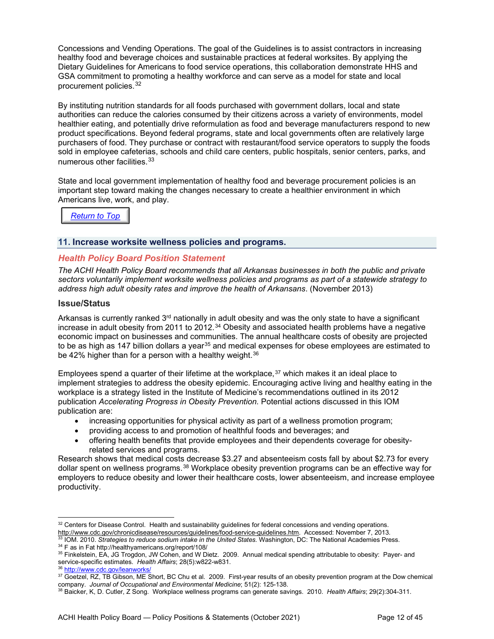Concessions and Vending Operations. The goal of the Guidelines is to assist contractors in increasing healthy food and beverage choices and sustainable practices at federal worksites. By applying the Dietary Guidelines for Americans to food service operations, this collaboration demonstrate HHS and GSA commitment to promoting a healthy workforce and can serve as a model for state and local procurement policies.[32](#page-11-1)

By instituting nutrition standards for all foods purchased with government dollars, local and state authorities can reduce the calories consumed by their citizens across a variety of environments, model healthier eating, and potentially drive reformulation as food and beverage manufacturers respond to new product specifications. Beyond federal programs, state and local governments often are relatively large purchasers of food. They purchase or contract with restaurant/food service operators to supply the foods sold in employee cafeterias, schools and child care centers, public hospitals, senior centers, parks, and numerous other facilities.[33](#page-11-2)

State and local government implementation of healthy food and beverage procurement policies is an important step toward making the changes necessary to create a healthier environment in which Americans live, work, and play.

## *[Return to Top](#page-0-0)*

#### <span id="page-11-0"></span>**11. Increase worksite wellness policies and programs.**

#### *Health Policy Board Position Statement*

*The ACHI Health Policy Board recommends that all Arkansas businesses in both the public and private sectors voluntarily implement worksite wellness policies and programs as part of a statewide strategy to address high adult obesity rates and improve the health of Arkansans*. (November 2013)

#### **Issue/Status**

Arkansas is currently ranked 3<sup>rd</sup> nationally in adult obesity and was the only state to have a significant increase in adult obesity from 2011 to 2012.<sup>[34](#page-11-3)</sup> Obesity and associated health problems have a negative economic impact on businesses and communities. The annual healthcare costs of obesity are projected to be as high as 147 billion dollars a year<sup>[35](#page-11-4)</sup> and medical expenses for obese employees are estimated to be 42% higher than for a person with a healthy weight.<sup>36</sup>

Employees spend a quarter of their lifetime at the workplace,  $37$  which makes it an ideal place to implement strategies to address the obesity epidemic. Encouraging active living and healthy eating in the workplace is a strategy listed in the Institute of Medicine's recommendations outlined in its 2012 publication *Accelerating Progress in Obesity Prevention.* Potential actions discussed in this IOM publication are:

- increasing opportunities for physical activity as part of a wellness promotion program;
- providing access to and promotion of healthful foods and beverages; and
- offering health benefits that provide employees and their dependents coverage for obesityrelated services and programs.

Research shows that medical costs decrease \$3.27 and absenteeism costs fall by about \$2.73 for every dollar spent on wellness programs.[38](#page-11-7) Workplace obesity prevention programs can be an effective way for employers to reduce obesity and lower their healthcare costs, lower absenteeism, and increase employee productivity.

<span id="page-11-1"></span><sup>32</sup> Centers for Disease Control. Health and sustainability guidelines for federal concessions and vending operations. [http://www.cdc.gov/chronicdisease/resources/guidelines/food-service-guidelines.htm.](http://www.cdc.gov/chronicdisease/resources/guidelines/food-service-guidelines.htm) Accessed: November 7, 2013. <sup>33</sup> IOM. 2010. *Strategies to reduce sodium intake in the United States.* Washington, DC: The National Academies Press.

<span id="page-11-3"></span><span id="page-11-2"></span><sup>34</sup> F as in Fat http://healthyamericans.org/report/108/

<span id="page-11-4"></span><sup>35</sup> Finkelstein, EA, JG Trogdon, JW Cohen, and W Dietz. 2009. Annual medical spending attributable to obesity: Payer- and service-specific estimates. *Health Affairs*; 28(5):w822-w831.

<sup>36</sup> <http://www.cdc.gov/leanworks/>

<span id="page-11-6"></span><span id="page-11-5"></span><sup>37</sup> Goetzel, RZ, TB Gibson, ME Short, BC Chu et al. 2009. First-year results of an obesity prevention program at the Dow chemical company. *Journal of Occupational and Environmental Medicine*; 51(2): 125-138.

<span id="page-11-7"></span><sup>38</sup> Baicker, K, D. Cutler, Z Song. Workplace wellness programs can generate savings. 2010. *Health Affairs*; 29(2):304-311.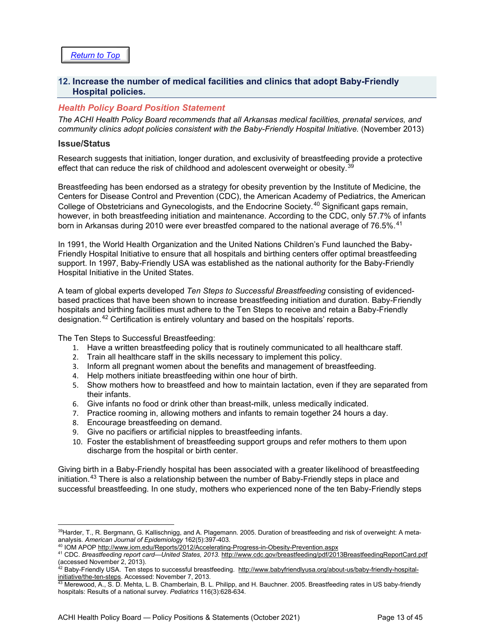#### <span id="page-12-0"></span>**12. Increase the number of medical facilities and clinics that adopt Baby-Friendly Hospital policies.**

#### *Health Policy Board Position Statement*

*The ACHI Health Policy Board recommends that all Arkansas medical facilities, prenatal services, and community clinics adopt policies consistent with the Baby-Friendly Hospital Initiative.* (November 2013)

#### **Issue/Status**

Research suggests that initiation, longer duration, and exclusivity of breastfeeding provide a protective effect that can reduce the risk of childhood and adolescent overweight or obesity.  $39$ 

Breastfeeding has been endorsed as a strategy for obesity prevention by the Institute of Medicine, the Centers for Disease Control and Prevention (CDC), the American Academy of Pediatrics, the American College of Obstetricians and Gynecologists, and the Endocrine Society.<sup>[40](#page-12-2)</sup> Significant gaps remain, however, in both breastfeeding initiation and maintenance. According to the CDC, only 57.7% of infants born in Arkansas during 2010 were ever breastfed compared to the national average of 76.5%.  $^{41}$  $^{41}$  $^{41}$ 

In 1991, the World Health Organization and the United Nations Children's Fund launched the Baby-Friendly Hospital Initiative to ensure that all hospitals and birthing centers offer optimal breastfeeding support. In 1997, Baby-Friendly USA was established as the national authority for the Baby-Friendly Hospital Initiative in the United States.

A team of global experts developed *Ten Steps to Successful Breastfeeding* consisting of evidencedbased practices that have been shown to increase breastfeeding initiation and duration. Baby-Friendly hospitals and birthing facilities must adhere to the Ten Steps to receive and retain a Baby-Friendly designation.[42](#page-12-4) Certification is entirely voluntary and based on the hospitals' reports.

The Ten Steps to Successful Breastfeeding:

- 1. Have a written breastfeeding policy that is routinely communicated to all healthcare staff.
- 2. Train all healthcare staff in the skills necessary to implement this policy.
- 3. Inform all pregnant women about the benefits and management of breastfeeding.
- 4. Help mothers initiate breastfeeding within one hour of birth.
- 5. Show mothers how to breastfeed and how to maintain lactation, even if they are separated from their infants.
- 6. Give infants no food or drink other than breast-milk, unless medically indicated.
- 7. Practice rooming in, allowing mothers and infants to remain together 24 hours a day.
- 8. Encourage breastfeeding on demand.
- 9. Give no pacifiers or artificial nipples to breastfeeding infants.
- 10. Foster the establishment of breastfeeding support groups and refer mothers to them upon discharge from the hospital or birth center.

Giving birth in a Baby-Friendly hospital has been associated with a greater likelihood of breastfeeding initiation.<sup>[43](#page-12-5)</sup> There is also a relationship between the number of Baby-Friendly steps in place and successful breastfeeding. In one study, mothers who experienced none of the ten Baby-Friendly steps

<span id="page-12-1"></span><sup>&</sup>lt;sup>39</sup>Harder, T., R. Bergmann, G. Kallischnigg, and A. Plagemann. 2005. Duration of breastfeeding and risk of overweight: A metaanalysis. *American Journal of Epidemiology* 162(5):397-403.

<sup>40</sup> IOM APO[P http://www.iom.edu/Reports/2012/Accelerating-Progress-in-Obesity-Prevention.aspx](http://www.iom.edu/Reports/2012/Accelerating-Progress-in-Obesity-Prevention.aspx)

<span id="page-12-3"></span><span id="page-12-2"></span><sup>41</sup> CDC. *Breastfeeding report card*—*United States, 2013.* <http://www.cdc.gov/breastfeeding/pdf/2013BreastfeedingReportCard.pdf> (accessed November 2, 2013).

<span id="page-12-4"></span><sup>&</sup>lt;sup>42</sup> Baby-Friendly USA. Ten steps to successful breastfeeding. <u>http://www.babyfriendlyusa.org/about-us/baby-friendly-hospital-</u> [initiative/the-ten-steps.](http://www.babyfriendlyusa.org/about-us/baby-friendly-hospital-initiative/the-ten-steps) Accessed: November 7, 2013.

<span id="page-12-5"></span> $^{43}$  Merewood, A., S. D. Mehta, L. B. Chamberlain, B. L. Philipp, and H. Bauchner. 2005. Breastfeeding rates in US baby-friendly hospitals: Results of a national survey. *Pediatrics* 116(3):628-634.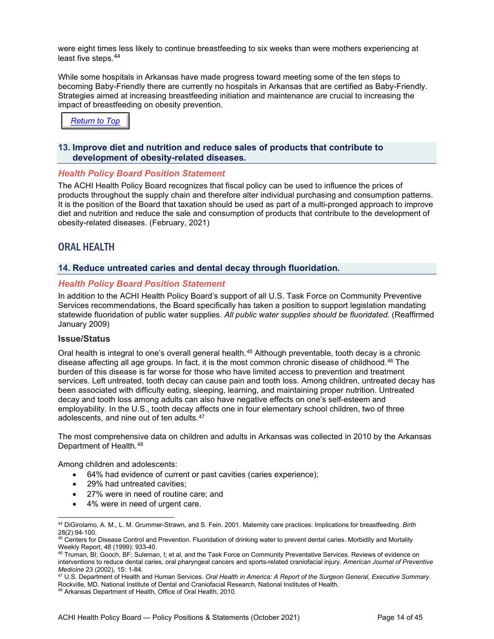were eight times less likely to continue breastfeeding to six weeks than were mothers experiencing at least five steps.[44](#page-13-3)

While some hospitals in Arkansas have made progress toward meeting some of the ten steps to becoming Baby-Friendly there are currently no hospitals in Arkansas that are certified as Baby-Friendly. Strategies aimed at increasing breastfeeding initiation and maintenance are crucial to increasing the impact of breastfeeding on obesity prevention.

*[Return to Top](#page-0-0)*

#### <span id="page-13-0"></span>**13. Improve diet and nutrition and reduce sales of products that contribute to development of obesity-related diseases.**

#### *Health Policy Board Position Statement*

The ACHI Health Policy Board recognizes that fiscal policy can be used to influence the prices of products throughout the supply chain and therefore alter individual purchasing and consumption patterns. It is the position of the Board that taxation should be used as part of a multi-pronged approach to improve diet and nutrition and reduce the sale and consumption of products that contribute to the development of obesity-related diseases. (February, 2021)

### <span id="page-13-1"></span>ORAL HEALTH

#### <span id="page-13-2"></span>**14. Reduce untreated caries and dental decay through fluoridation.**

#### *Health Policy Board Position Statement*

In addition to the ACHI Health Policy Board's support of all U.S. Task Force on Community Preventive Services recommendations, the Board specifically has taken a position to support legislation mandating statewide fluoridation of public water supplies. *All public water supplies should be fluoridated.* (Reaffirmed January 2009)

#### **Issue/Status**

Oral health is integral to one's overall general health.[45](#page-13-4) Although preventable, tooth decay is a chronic disease affecting all age groups. In fact, it is the most common chronic disease of childhood.[46](#page-13-5) The burden of this disease is far worse for those who have limited access to prevention and treatment services. Left untreated, tooth decay can cause pain and tooth loss. Among children, untreated decay has been associated with difficulty eating, sleeping, learning, and maintaining proper nutrition. Untreated decay and tooth loss among adults can also have negative effects on one's self-esteem and employability. In the U.S., tooth decay affects one in four elementary school children, two of three adolescents, and nine out of ten adults.[47](#page-13-6)

The most comprehensive data on children and adults in Arkansas was collected in 2010 by the Arkansas Department of Health.[48](#page-13-7)

Among children and adolescents:

- 64% had evidence of current or past cavities (caries experience);
- 29% had untreated cavities;
- 27% were in need of routine care; and
- 4% were in need of urgent care.

<span id="page-13-6"></span><sup>47</sup> U.S. Department of Health and Human Services. *Oral Health in America: A Report of the Surgeon General, Executive Summary.*  Rockville, MD. National Institute of Dental and Craniofacial Research, National Institutes of Health.

<span id="page-13-7"></span><sup>48</sup> Arkansas Department of Health, Office of Oral Health, 2010.

<span id="page-13-3"></span><sup>44</sup> DiGirolamo, A. M., L. M. Grummer-Strawn, and S. Fein. 2001. Maternity care practices: Implications for breastfeeding. *Birth* 28(2):94-100.

<span id="page-13-4"></span><sup>&</sup>lt;sup>45</sup> Centers for Disease Control and Prevention. Fluoridation of drinking water to prevent dental caries. Morbidity and Mortality Weekly Report, 48 (1999): 933-40.

<span id="page-13-5"></span><sup>&</sup>lt;sup>46</sup> Truman, BI; Gooch, BF; Suleman, I; et al, and the Task Force on Community Preventative Services. Reviews of evidence on interventions to reduce dental caries, oral pharyngeal cancers and sports-related craniofacial injury. *American Journal of Preventive Medicine* 23 (2002), 1S: 1-84.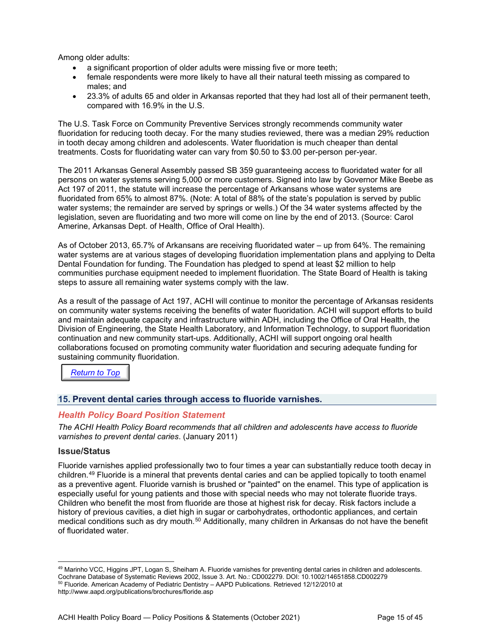Among older adults:

- a significant proportion of older adults were missing five or more teeth;
- female respondents were more likely to have all their natural teeth missing as compared to males; and
- 23.3% of adults 65 and older in Arkansas reported that they had lost all of their permanent teeth, compared with 16.9% in the U.S.

The U.S. Task Force on Community Preventive Services strongly recommends community water fluoridation for reducing tooth decay. For the many studies reviewed, there was a median 29% reduction in tooth decay among children and adolescents. Water fluoridation is much cheaper than dental treatments. Costs for fluoridating water can vary from \$0.50 to \$3.00 per-person per-year.

The 2011 Arkansas General Assembly passed SB 359 guaranteeing access to fluoridated water for all persons on water systems serving 5,000 or more customers. Signed into law by Governor Mike Beebe as Act 197 of 2011, the statute will increase the percentage of Arkansans whose water systems are fluoridated from 65% to almost 87%. (Note: A total of 88% of the state's population is served by public water systems; the remainder are served by springs or wells.) Of the 34 water systems affected by the legislation, seven are fluoridating and two more will come on line by the end of 2013. (Source: Carol Amerine, Arkansas Dept. of Health, Office of Oral Health).

As of October 2013, 65.7% of Arkansans are receiving fluoridated water – up from 64%. The remaining water systems are at various stages of developing fluoridation implementation plans and applying to Delta Dental Foundation for funding. The Foundation has pledged to spend at least \$2 million to help communities purchase equipment needed to implement fluoridation. The State Board of Health is taking steps to assure all remaining water systems comply with the law.

As a result of the passage of Act 197, ACHI will continue to monitor the percentage of Arkansas residents on community water systems receiving the benefits of water fluoridation. ACHI will support efforts to build and maintain adequate capacity and infrastructure within ADH, including the Office of Oral Health, the Division of Engineering, the State Health Laboratory, and Information Technology, to support fluoridation continuation and new community start-ups. Additionally, ACHI will support ongoing oral health collaborations focused on promoting community water fluoridation and securing adequate funding for sustaining community fluoridation.

*[Return to Top](#page-0-0)*

#### <span id="page-14-0"></span>**15. Prevent dental caries through access to fluoride varnishes.**

#### *Health Policy Board Position Statement*

*The ACHI Health Policy Board recommends that all children and adolescents have access to fluoride varnishes to prevent dental caries*. (January 2011)

#### **Issue/Status**

Fluoride varnishes applied professionally two to four times a year can substantially reduce tooth decay in children.[49](#page-14-1) Fluoride is a mineral that prevents dental caries and can be applied topically to tooth enamel as a preventive agent. Fluoride varnish is brushed or "painted" on the enamel. This type of application is especially useful for young patients and those with special needs who may not tolerate fluoride trays. Children who benefit the most from fluoride are those at highest risk for decay. Risk factors include a history of previous cavities, a diet high in sugar or carbohydrates, orthodontic appliances, and certain medical conditions such as dry mouth.<sup>[50](#page-14-2)</sup> Additionally, many children in Arkansas do not have the benefit of fluoridated water.

<span id="page-14-2"></span><span id="page-14-1"></span><sup>49</sup> Marinho VCC, Higgins JPT, Logan S, Sheiham A. Fluoride varnishes for preventing dental caries in children and adolescents. Cochrane Database of Systematic Reviews 2002, Issue 3. Art. No.: CD002279. DOI: 10.1002/14651858.CD002279 <sup>50</sup> Fluoride. American Academy of Pediatric Dentistry – AAPD Publications. Retrieved 12/12/2010 at <http://www.aapd.org/publications/brochures/floride.asp>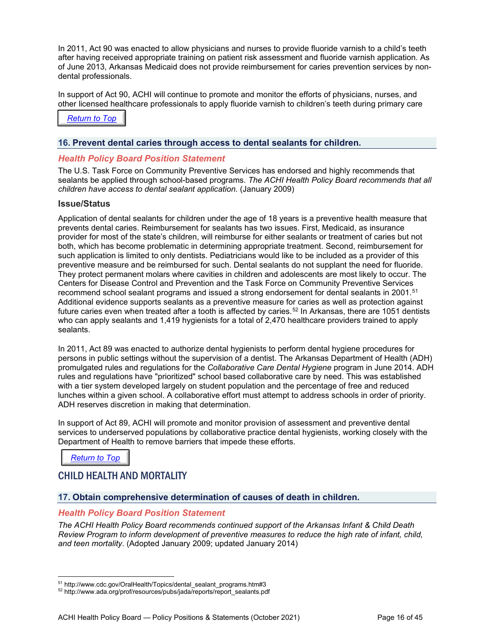In 2011, Act 90 was enacted to allow physicians and nurses to provide fluoride varnish to a child's teeth after having received appropriate training on patient risk assessment and fluoride varnish application. As of June 2013, Arkansas Medicaid does not provide reimbursement for caries prevention services by nondental professionals.

In support of Act 90, ACHI will continue to promote and monitor the efforts of physicians, nurses, and other licensed healthcare professionals to apply fluoride varnish to children's teeth during primary care

**[Return to Top](#page-0-0)** 

#### <span id="page-15-0"></span>**16. Prevent dental caries through access to dental sealants for children.**

#### *Health Policy Board Position Statement*

The U.S. Task Force on Community Preventive Services has endorsed and highly recommends that sealants be applied through school-based programs. *The ACHI Health Policy Board recommends that all children have access to dental sealant application.* (January 2009)

#### **Issue/Status**

Application of dental sealants for children under the age of 18 years is a preventive health measure that prevents dental caries. Reimbursement for sealants has two issues. First, Medicaid, as insurance provider for most of the state's children, will reimburse for either sealants or treatment of caries but not both, which has become problematic in determining appropriate treatment. Second, reimbursement for such application is limited to only dentists. Pediatricians would like to be included as a provider of this preventive measure and be reimbursed for such. Dental sealants do not supplant the need for fluoride. They protect permanent molars where cavities in children and adolescents are most likely to occur. The Centers for Disease Control and Prevention and the Task Force on Community Preventive Services recommend school sealant programs and issued a [strong endorsement](http://www.thecommunityguide.org/oral/oral-int-seal.pdf) for dental sealants in 2001.<sup>[51](#page-15-3)</sup> Additional evidence supports sealants as a preventive measure for caries as well as protection against future caries even when treated after a tooth is affected by caries.<sup>[52](#page-15-4)</sup> In Arkansas, there are 1051 dentists who can apply sealants and 1,419 hygienists for a total of 2,470 healthcare providers trained to apply sealants.

In 2011, Act 89 was enacted to authorize dental hygienists to perform dental hygiene procedures for persons in public settings without the supervision of a dentist. The Arkansas Department of Health (ADH) promulgated rules and regulations for the *Collaborative Care Dental Hygiene* program in June 2014. ADH rules and regulations have "prioritized" school based collaborative care by need. This was established with a tier system developed largely on student population and the percentage of free and reduced lunches within a given school. A collaborative effort must attempt to address schools in order of priority. ADH reserves discretion in making that determination.

In support of Act 89, ACHI will promote and monitor provision of assessment and preventive dental services to underserved populations by collaborative practice dental hygienists, working closely with the Department of Health to remove barriers that impede these efforts.

*[Return to Top](#page-0-0)*

## <span id="page-15-1"></span>CHILD HEALTH AND MORTALITY

#### <span id="page-15-2"></span>**17. Obtain comprehensive determination of causes of death in children.**

#### *Health Policy Board Position Statement*

*The ACHI Health Policy Board recommends continued support of the Arkansas Infant & Child Death Review Program to inform development of preventive measures to reduce the high rate of infant, child, and teen mortality*. (Adopted January 2009; updated January 2014)

<sup>&</sup>lt;sup>51</sup> http://www.cdc.gov/OralHealth/Topics/dental\_sealant\_programs.htm#3

<span id="page-15-4"></span><span id="page-15-3"></span><sup>52</sup> http://www.ada.org/prof/resources/pubs/jada/reports/report\_sealants.pdf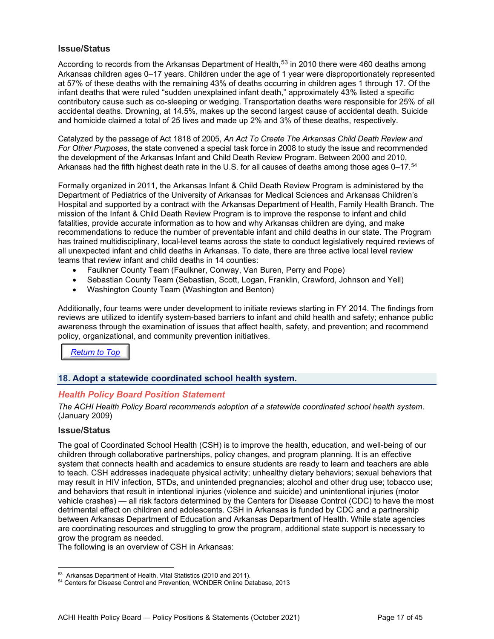#### **Issue/Status**

According to records from the Arkansas Department of Health,  $53$  in 2010 there were 460 deaths among Arkansas children ages 0–17 years. Children under the age of 1 year were disproportionately represented at 57% of these deaths with the remaining 43% of deaths occurring in children ages 1 through 17. Of the infant deaths that were ruled "sudden unexplained infant death," approximately 43% listed a specific contributory cause such as co-sleeping or wedging. Transportation deaths were responsible for 25% of all accidental deaths. Drowning, at 14.5%, makes up the second largest cause of accidental death. Suicide and homicide claimed a total of 25 lives and made up 2% and 3% of these deaths, respectively.

Catalyzed by the passage of Act 1818 of 2005, *An Act To Create The Arkansas Child Death Review and For Other Purposes*, the state convened a special task force in 2008 to study the issue and recommended the development of the Arkansas Infant and Child Death Review Program. Between 2000 and 2010, Arkansas had the fifth highest death rate in the U.S. for all causes of deaths among those ages 0–17.<sup>[54](#page-16-2)</sup>

Formally organized in 2011, the Arkansas Infant & Child Death Review Program is administered by the Department of Pediatrics of the University of Arkansas for Medical Sciences and Arkansas Children's Hospital and supported by a contract with the Arkansas Department of Health, Family Health Branch. The mission of the Infant & Child Death Review Program is to improve the response to infant and child fatalities, provide accurate information as to how and why Arkansas children are dying, and make recommendations to reduce the number of preventable infant and child deaths in our state. The Program has trained multidisciplinary, local-level teams across the state to conduct legislatively required reviews of all unexpected infant and child deaths in Arkansas. To date, there are three active local level review teams that review infant and child deaths in 14 counties:

- Faulkner County Team (Faulkner, Conway, Van Buren, Perry and Pope)
- Sebastian County Team (Sebastian, Scott, Logan, Franklin, Crawford, Johnson and Yell)
- Washington County Team (Washington and Benton)

Additionally, four teams were under development to initiate reviews starting in FY 2014. The findings from reviews are utilized to identify system-based barriers to infant and child health and safety; enhance public awareness through the examination of issues that affect health, safety, and prevention; and recommend policy, organizational, and community prevention initiatives.

*[Return to Top](#page-0-0)*

#### <span id="page-16-0"></span>**18. Adopt a statewide coordinated school health system.**

#### *Health Policy Board Position Statement*

*The ACHI Health Policy Board recommends adoption of a statewide coordinated school health system*. (January 2009)

#### **Issue/Status**

The goal of Coordinated School Health (CSH) is to improve the health, education, and well-being of our children through collaborative partnerships, policy changes, and program planning. It is an effective system that connects health and academics to ensure students are ready to learn and teachers are able to teach. CSH addresses inadequate physical activity; unhealthy dietary behaviors; sexual behaviors that may result in HIV infection, STDs, and unintended pregnancies; alcohol and other drug use; tobacco use; and behaviors that result in intentional injuries (violence and suicide) and unintentional injuries (motor vehicle crashes) — all risk factors determined by the Centers for Disease Control (CDC) to have the most detrimental effect on children and adolescents. CSH in Arkansas is funded by CDC and a partnership between Arkansas Department of Education and Arkansas Department of Health. While state agencies are coordinating resources and struggling to grow the program, additional state support is necessary to grow the program as needed.

The following is an overview of CSH in Arkansas:

<span id="page-16-1"></span><sup>53</sup> Arkansas Department of Health, Vital Statistics (2010 and 2011).

<span id="page-16-2"></span><sup>54</sup> Centers for Disease Control and Prevention, WONDER Online Database, 2013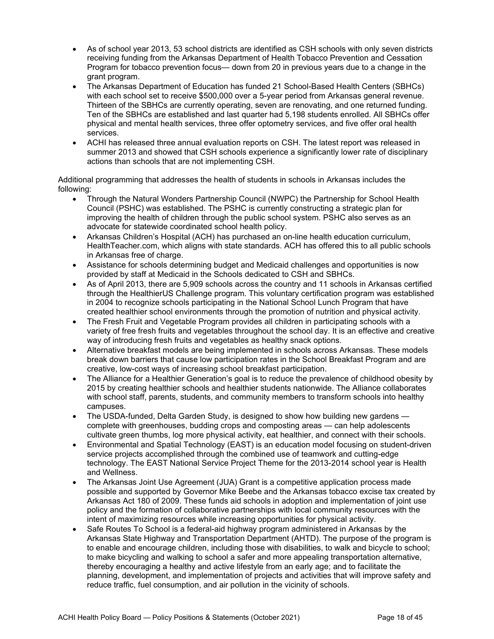- As of school year 2013, 53 school districts are identified as CSH schools with only seven districts receiving funding from the Arkansas Department of Health Tobacco Prevention and Cessation Program for tobacco prevention focus— down from 20 in previous years due to a change in the grant program.
- The Arkansas Department of Education has funded 21 School-Based Health Centers (SBHCs) with each school set to receive \$500,000 over a 5-year period from Arkansas general revenue. Thirteen of the SBHCs are currently operating, seven are renovating, and one returned funding. Ten of the SBHCs are established and last quarter had 5,198 students enrolled. All SBHCs offer physical and mental health services, three offer optometry services, and five offer oral health services.
- ACHI has released three annual evaluation reports on CSH. The latest report was released in summer 2013 and showed that CSH schools experience a significantly lower rate of disciplinary actions than schools that are not implementing CSH.

Additional programming that addresses the health of students in schools in Arkansas includes the following:

- Through the Natural Wonders Partnership Council (NWPC) the Partnership for School Health Council (PSHC) was established. The PSHC is currently constructing a strategic plan for improving the health of children through the public school system. PSHC also serves as an advocate for statewide coordinated school health policy.
- Arkansas Children's Hospital (ACH) has purchased an on-line health education curriculum, HealthTeacher.com, which aligns with state standards. ACH has offered this to all public schools in Arkansas free of charge.
- Assistance for schools determining budget and Medicaid challenges and opportunities is now provided by staff at Medicaid in the Schools dedicated to CSH and SBHCs.
- As of April 2013, there are 5,909 schools across the country and 11 schools in Arkansas certified through the HealthierUS Challenge program. This voluntary certification program was established in 2004 to recognize schools participating in the National School Lunch Program that have created healthier school environments through the promotion of nutrition and physical activity.
- The Fresh Fruit and Vegetable Program provides all children in participating schools with a variety of free fresh fruits and vegetables throughout the school day. It is an effective and creative way of introducing fresh fruits and vegetables as healthy snack options.
- Alternative breakfast models are being implemented in schools across Arkansas. These models break down barriers that cause low participation rates in the School Breakfast Program and are creative, low-cost ways of increasing school breakfast participation.
- The Alliance for a Healthier Generation's goal is to reduce the prevalence of childhood obesity by 2015 by creating healthier schools and healthier students nationwide. The Alliance collaborates with school staff, parents, students, and community members to transform schools into healthy campuses.
- The USDA-funded, Delta Garden Study, is designed to show how building new gardens complete with greenhouses, budding crops and composting areas — can help adolescents cultivate green thumbs, log more physical activity, eat healthier, and connect with their schools.
- Environmental and Spatial Technology (EAST) is an education model focusing on student-driven service projects accomplished through the combined use of teamwork and cutting-edge technology. The EAST National Service Project Theme for the 2013-2014 school year is Health and Wellness.
- The Arkansas Joint Use Agreement (JUA) Grant is a competitive application process made possible and supported by Governor Mike Beebe and the Arkansas tobacco excise tax created by Arkansas Act 180 of 2009. These funds aid schools in adoption and implementation of joint use policy and the formation of collaborative partnerships with local community resources with the intent of maximizing resources while increasing opportunities for physical activity.
- Safe Routes To School is a federal-aid highway program administered in Arkansas by the Arkansas State Highway and Transportation Department (AHTD). The purpose of the program is to enable and encourage children, including those with disabilities, to walk and bicycle to school; to make bicycling and walking to school a safer and more appealing transportation alternative, thereby encouraging a healthy and active lifestyle from an early age; and to facilitate the planning, development, and implementation of projects and activities that will improve safety and reduce traffic, fuel consumption, and air pollution in the vicinity of schools.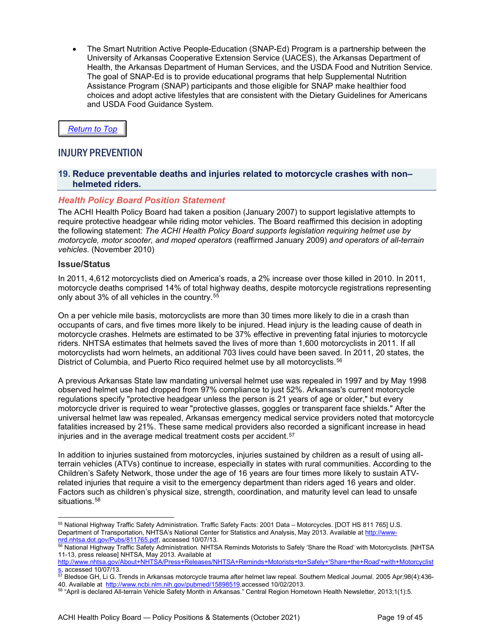• The Smart Nutrition Active People-Education (SNAP-Ed) Program is a partnership between the University of Arkansas Cooperative Extension Service (UACES), the Arkansas Department of Health, the Arkansas Department of Human Services, and the USDA Food and Nutrition Service. The goal of SNAP-Ed is to provide educational programs that help Supplemental Nutrition Assistance Program (SNAP) participants and those eligible for SNAP make healthier food choices and adopt active lifestyles that are consistent with the Dietary Guidelines for Americans and USDA Food Guidance System.

#### *[Return to Top](#page-0-0)*

## <span id="page-18-0"></span>INJURY PREVENTION

#### <span id="page-18-1"></span>**19. Reduce preventable deaths and injuries related to motorcycle crashes with non– helmeted riders.**

#### *Health Policy Board Position Statement*

The ACHI Health Policy Board had taken a position (January 2007) to support legislative attempts to require protective headgear while riding motor vehicles. The Board reaffirmed this decision in adopting the following statement: *The ACHI Health Policy Board supports legislation requiring helmet use by motorcycle, motor scooter, and moped operators* (reaffirmed January 2009) *and operators of all-terrain vehicles.* (November 2010)

#### **Issue/Status**

In 2011, 4,612 motorcyclists died on America's roads, a 2% increase over those killed in 2010. In 2011, motorcycle deaths comprised 14% of total highway deaths, despite motorcycle registrations representing only about 3% of all vehicles in the country.<sup>[55](#page-18-2)</sup>

On a per vehicle mile basis, motorcyclists are more than 30 times more likely to die in a crash than occupants of cars, and five times more likely to be injured. Head injury is the leading cause of death in motorcycle crashes. Helmets are estimated to be 37% effective in preventing fatal injuries to motorcycle riders. NHTSA estimates that helmets saved the lives of more than 1,600 motorcyclists in 2011. If all motorcyclists had worn helmets, an additional 703 lives could have been saved. In 2011, 20 states, the District of Columbia, and Puerto Rico required helmet use by all motorcyclists.<sup>[56](#page-18-3)</sup>

A previous Arkansas State law mandating universal helmet use was repealed in 1997 and by May 1998 observed helmet use had dropped from 97% compliance to just 52%. Arkansas's current motorcycle regulations specify "protective headgear unless the person is 21 years of age or older," but every motorcycle driver is required to wear "protective glasses, goggles or transparent face shields." After the universal helmet law was repealed, Arkansas emergency medical service providers noted that motorcycle fatalities increased by 21%. These same medical providers also recorded a significant increase in head injuries and in the average medical treatment costs per accident.<sup>[57](#page-18-4)</sup>

In addition to injuries sustained from motorcycles, injuries sustained by children as a result of using allterrain vehicles (ATVs) continue to increase, especially in states with rural communities. According to the Children's Safety Network, those under the age of 16 years are four times more likely to sustain ATVrelated injuries that require a visit to the emergency department than riders aged 16 years and older. Factors such as children's physical size, strength, coordination, and maturity level can lead to unsafe situations.<sup>[58](#page-18-5)</sup>

<span id="page-18-6"></span><span id="page-18-2"></span><sup>55</sup> National Highway Traffic Safety Administration. Traffic Safety Facts: 2001 Data – Motorcycles. [DOT HS 811 765] U.S. Department of Transportation, NHTSA's National Center for Statistics and Analysis, May 2013. Available a[t http://www](http://www-nrd.nhtsa.dot.gov/Pubs/811765.pdf)[nrd.nhtsa.dot.gov/Pubs/811765.pdf,](http://www-nrd.nhtsa.dot.gov/Pubs/811765.pdf) accessed 10/07/13.

<span id="page-18-3"></span> $^{56}$  National Highway Traffic Safety Administration. NHTSA Reminds Motorists to Safely 'Share the Road' with Motorcyclists. [NHTSA 11-13, press release] NHTSA, May 2013. Available at

[http://www.nhtsa.gov/About+NHTSA/Press+Releases/NHTSA+Reminds+Motorists+to+Safely+'Share+the+Road'+with+Motorcyclist](http://www.nhtsa.gov/About+NHTSA/Press+Releases/NHTSA+Reminds+Motorists+to+Safely+) <u>[s,](http://www.nhtsa.gov/About+NHTSA/Press+Releases/NHTSA+Reminds+Motorists+to+Safely+)</u> accessed 10/07/13.

<span id="page-18-4"></span> $^{57}$  Bledsoe GH, Li G. Trends in Arkansas motorcycle trauma after helmet law repeal. Southern Medical Journal. 2005 Apr;98(4):436-40. Available at [http://www.ncbi.nlm.nih.gov/pubmed/15898519.a](http://www.ncbi.nlm.nih.gov/pubmed/15898519)ccessed 10/02/2013.

<span id="page-18-5"></span><sup>58</sup> "April is declared All-terrain Vehicle Safety Month in Arkansas." Central Region Hometown Health Newsletter, 2013;1(1):5.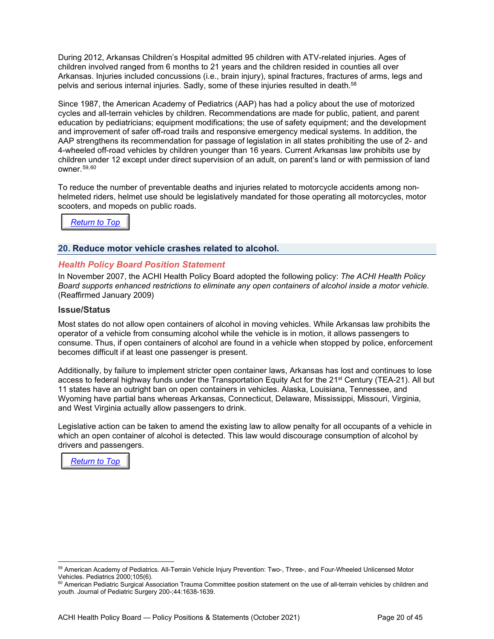During 2012, Arkansas Children's Hospital admitted 95 children with ATV-related injuries. Ages of children involved ranged from 6 months to 21 years and the children resided in counties all over Arkansas. Injuries included concussions (i.e., brain injury), spinal fractures, fractures of arms, legs and pelvis and serious internal injuries. Sadly, some of these injuries resulted in death[.58](#page-18-6)

Since 1987, the American Academy of Pediatrics (AAP) has had a policy about the use of motorized cycles and all-terrain vehicles by children. Recommendations are made for public, patient, and parent education by pediatricians; equipment modifications; the use of safety equipment; and the development and improvement of safer off-road trails and responsive emergency medical systems. In addition, the AAP strengthens its recommendation for passage of legislation in all states prohibiting the use of 2- and 4-wheeled off-road vehicles by children younger than 16 years. Current Arkansas law prohibits use by children under 12 except under direct supervision of an adult, on parent's land or with permission of land owner.[59,](#page-19-1)[60](#page-19-2)

To reduce the number of preventable deaths and injuries related to motorcycle accidents among nonhelmeted riders, helmet use should be legislatively mandated for those operating all motorcycles, motor scooters, and mopeds on public roads.



#### <span id="page-19-0"></span>**20. Reduce motor vehicle crashes related to alcohol.**

#### *Health Policy Board Position Statement*

In November 2007, the ACHI Health Policy Board adopted the following policy: *The ACHI Health Policy Board supports enhanced restrictions to eliminate any open containers of alcohol inside a motor vehicle.* (Reaffirmed January 2009)

#### **Issue/Status**

Most states do not allow open containers of alcohol in moving vehicles. While Arkansas law prohibits the operator of a vehicle from consuming alcohol while the vehicle is in motion, it allows passengers to consume. Thus, if open containers of alcohol are found in a vehicle when stopped by police, enforcement becomes difficult if at least one passenger is present.

Additionally, by failure to implement stricter open container laws, Arkansas has lost and continues to lose access to federal highway funds under the Transportation Equity Act for the 21<sup>st</sup> Century (TEA-21). All but 11 states have an outright ban on open containers in vehicles. Alaska, Louisiana, Tennessee, and Wyoming have partial bans whereas Arkansas, Connecticut, Delaware, Mississippi, Missouri, Virginia, and West Virginia actually allow passengers to drink.

Legislative action can be taken to amend the existing law to allow penalty for all occupants of a vehicle in which an open container of alcohol is detected. This law would discourage consumption of alcohol by drivers and passengers.



<span id="page-19-1"></span><sup>59</sup> American Academy of Pediatrics. All-Terrain Vehicle Injury Prevention: Two-, Three-, and Four-Wheeled Unlicensed Motor Vehicles. Pediatrics 2000;105(6).

<span id="page-19-2"></span><sup>&</sup>lt;sup>60</sup> American Pediatric Surgical Association Trauma Committee position statement on the use of all-terrain vehicles by children and youth. Journal of Pediatric Surgery 200-;44:1638-1639.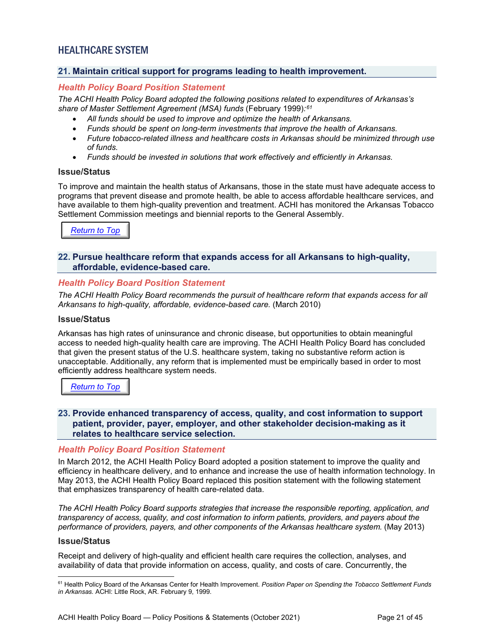## <span id="page-20-0"></span>HEALTHCARE SYSTEM

#### <span id="page-20-1"></span>**21. Maintain critical support for programs leading to health improvement.**

#### *Health Policy Board Position Statement*

*The ACHI Health Policy Board adopted the following positions related to expenditures of Arkansas's share of Master Settlement Agreement (MSA) funds* (February 1999)*:[61](#page-20-4)*

- *All funds should be used to improve and optimize the health of Arkansans.*
- *Funds should be spent on long-term investments that improve the health of Arkansans.*
- *Future tobacco-related illness and healthcare costs in Arkansas should be minimized through use of funds.*
- *Funds should be invested in solutions that work effectively and efficiently in Arkansas.*

#### **Issue/Status**

To improve and maintain the health status of Arkansans, those in the state must have adequate access to programs that prevent disease and promote health, be able to access affordable healthcare services, and have available to them high-quality prevention and treatment. ACHI has monitored the Arkansas Tobacco Settlement Commission meetings and biennial reports to the General Assembly.

*[Return to Top](#page-0-0)*

#### <span id="page-20-2"></span>**22. Pursue healthcare reform that expands access for all Arkansans to high-quality, affordable, evidence-based care.**

#### *Health Policy Board Position Statement*

*The ACHI Health Policy Board recommends the pursuit of healthcare reform that expands access for all Arkansans to high-quality, affordable, evidence-based care.* (March 2010)

#### **Issue/Status**

Arkansas has high rates of uninsurance and chronic disease, but opportunities to obtain meaningful access to needed high-quality health care are improving. The ACHI Health Policy Board has concluded that given the present status of the U.S. healthcare system, taking no substantive reform action is unacceptable. Additionally, any reform that is implemented must be empirically based in order to most efficiently address healthcare system needs.

*[Return to Top](#page-0-0)*

#### <span id="page-20-3"></span>**23. Provide enhanced transparency of access, quality, and cost information to support patient, provider, payer, employer, and other stakeholder decision-making as it relates to healthcare service selection.**

#### *Health Policy Board Position Statement*

In March 2012, the ACHI Health Policy Board adopted a position statement to improve the quality and efficiency in healthcare delivery, and to enhance and increase the use of health information technology. In May 2013, the ACHI Health Policy Board replaced this position statement with the following statement that emphasizes transparency of health care-related data.

*The ACHI Health Policy Board supports strategies that increase the responsible reporting, application, and transparency of access, quality, and cost information to inform patients, providers, and payers about the performance of providers, payers, and other components of the Arkansas healthcare system.* (May 2013)

#### **Issue/Status**

Receipt and delivery of high-quality and efficient health care requires the collection, analyses, and availability of data that provide information on access, quality, and costs of care. Concurrently, the

<span id="page-20-4"></span><sup>61</sup> Health Policy Board of the Arkansas Center for Health Improvement. *Position Paper on Spending the Tobacco Settlement Funds in Arkansas.* ACHI: Little Rock, AR. February 9, 1999.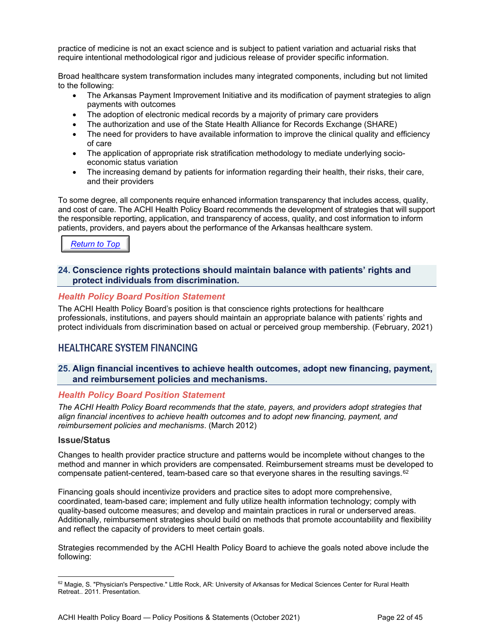practice of medicine is not an exact science and is subject to patient variation and actuarial risks that require intentional methodological rigor and judicious release of provider specific information.

Broad healthcare system transformation includes many integrated components, including but not limited to the following:

- The Arkansas Payment Improvement Initiative and its modification of payment strategies to align payments with outcomes
- The adoption of electronic medical records by a majority of primary care providers
- The authorization and use of the State Health Alliance for Records Exchange (SHARE)
- The need for providers to have available information to improve the clinical quality and efficiency of care
- The application of appropriate risk stratification methodology to mediate underlying socioeconomic status variation
- The increasing demand by patients for information regarding their health, their risks, their care, and their providers

To some degree, all components require enhanced information transparency that includes access, quality, and cost of care. The ACHI Health Policy Board recommends the development of strategies that will support the responsible reporting, application, and transparency of access, quality, and cost information to inform patients, providers, and payers about the performance of the Arkansas healthcare system.

*[Return to Top](#page-0-0)*

#### <span id="page-21-0"></span>**24. Conscience rights protections should maintain balance with patients' rights and protect individuals from discrimination.**

#### *Health Policy Board Position Statement*

The ACHI Health Policy Board's position is that conscience rights protections for healthcare professionals, institutions, and payers should maintain an appropriate balance with patients' rights and protect individuals from discrimination based on actual or perceived group membership. (February, 2021)

## <span id="page-21-1"></span>HEALTHCARE SYSTEM FINANCING

#### <span id="page-21-2"></span>**25. Align financial incentives to achieve health outcomes, adopt new financing, payment, and reimbursement policies and mechanisms.**

#### *Health Policy Board Position Statement*

*The ACHI Health Policy Board recommends that the state, payers, and providers adopt strategies that align financial incentives to achieve health outcomes and to adopt new financing, payment, and reimbursement policies and mechanisms*. (March 2012)

#### **Issue/Status**

Changes to health provider practice structure and patterns would be incomplete without changes to the method and manner in which providers are compensated. Reimbursement streams must be developed to compensate patient-centered, team-based care so that everyone shares in the resulting savings.<sup>[62](#page-21-3)</sup>

Financing goals should incentivize providers and practice sites to adopt more comprehensive, coordinated, team-based care; implement and fully utilize health information technology; comply with quality-based outcome measures; and develop and maintain practices in rural or underserved areas. Additionally, reimbursement strategies should build on methods that promote accountability and flexibility and reflect the capacity of providers to meet certain goals.

Strategies recommended by the ACHI Health Policy Board to achieve the goals noted above include the following:

<span id="page-21-3"></span> $62$  Magie, S. "Physician's Perspective." Little Rock, AR: University of Arkansas for Medical Sciences Center for Rural Health Retreat.. 2011. Presentation.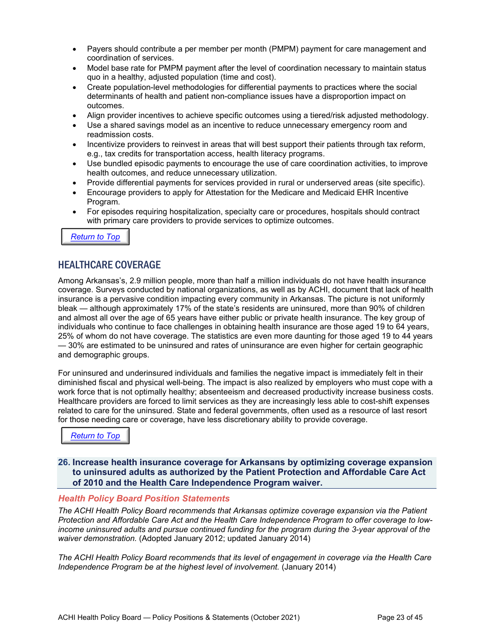- Payers should contribute a per member per month (PMPM) payment for care management and coordination of services.
- Model base rate for PMPM payment after the level of coordination necessary to maintain status quo in a healthy, adjusted population (time and cost).
- Create population-level methodologies for differential payments to practices where the social determinants of health and patient non-compliance issues have a disproportion impact on outcomes.
- Align provider incentives to achieve specific outcomes using a tiered/risk adjusted methodology.
- Use a shared savings model as an incentive to reduce unnecessary emergency room and readmission costs.
- Incentivize providers to reinvest in areas that will best support their patients through tax reform, e.g., tax credits for transportation access, health literacy programs.
- Use bundled episodic payments to encourage the use of care coordination activities, to improve health outcomes, and reduce unnecessary utilization.
- Provide differential payments for services provided in rural or underserved areas (site specific).
- Encourage providers to apply for Attestation for the Medicare and Medicaid EHR Incentive Program.
- For episodes requiring hospitalization, specialty care or procedures, hospitals should contract with primary care providers to provide services to optimize outcomes.

*[Return to Top](#page-0-0)*

## <span id="page-22-0"></span>HEALTHCARE COVERAGE

Among Arkansas's, 2.9 million people, more than half a million individuals do not have health insurance coverage. Surveys conducted by national organizations, as well as by ACHI, document that lack of health insurance is a pervasive condition impacting every community in Arkansas. The picture is not uniformly bleak — although approximately 17% of the state's residents are uninsured, more than 90% of children and almost all over the age of 65 years have either public or private health insurance. The key group of individuals who continue to face challenges in obtaining health insurance are those aged 19 to 64 years, 25% of whom do not have coverage. The statistics are even more daunting for those aged 19 to 44 years — 30% are estimated to be uninsured and rates of uninsurance are even higher for certain geographic and demographic groups.

For uninsured and underinsured individuals and families the negative impact is immediately felt in their diminished fiscal and physical well-being. The impact is also realized by employers who must cope with a work force that is not optimally healthy; absenteeism and decreased productivity increase business costs. Healthcare providers are forced to limit services as they are increasingly less able to cost-shift expenses related to care for the uninsured. State and federal governments, often used as a resource of last resort for those needing care or coverage, have less discretionary ability to provide coverage.

*[Return to Top](#page-0-0)*

<span id="page-22-1"></span>**26. Increase health insurance coverage for Arkansans by optimizing coverage expansion to uninsured adults as authorized by the Patient Protection and Affordable Care Act of 2010 and the Health Care Independence Program waiver.**

#### *Health Policy Board Position Statements*

*The ACHI Health Policy Board recommends that Arkansas optimize coverage expansion via the Patient Protection and Affordable Care Act and the Health Care Independence Program to offer coverage to lowincome uninsured adults and pursue continued funding for the program during the 3-year approval of the waiver demonstration.* (Adopted January 2012; updated January 2014)

*The ACHI Health Policy Board recommends that its level of engagement in coverage via the Health Care Independence Program be at the highest level of involvement.* (January 2014)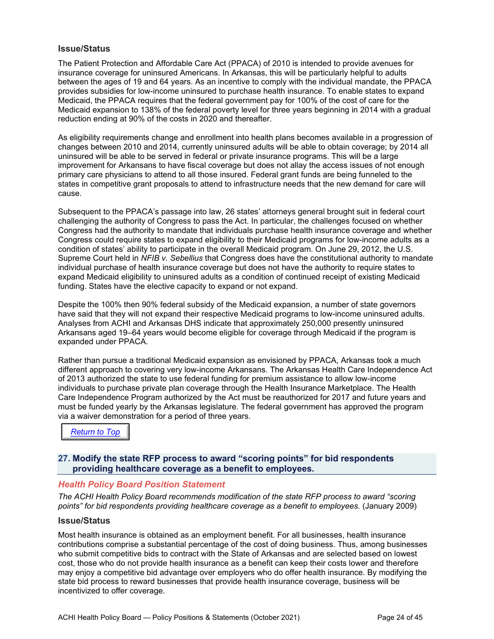#### **Issue/Status**

The Patient Protection and Affordable Care Act (PPACA) of 2010 is intended to provide avenues for insurance coverage for uninsured Americans. In Arkansas, this will be particularly helpful to adults between the ages of 19 and 64 years. As an incentive to comply with the individual mandate, the PPACA provides subsidies for low-income uninsured to purchase health insurance. To enable states to expand Medicaid, the PPACA requires that the federal government pay for 100% of the cost of care for the Medicaid expansion to 138% of the federal poverty level for three years beginning in 2014 with a gradual reduction ending at 90% of the costs in 2020 and thereafter.

As eligibility requirements change and enrollment into health plans becomes available in a progression of changes between 2010 and 2014, currently uninsured adults will be able to obtain coverage; by 2014 all uninsured will be able to be served in federal or private insurance programs. This will be a large improvement for Arkansans to have fiscal coverage but does not allay the access issues of not enough primary care physicians to attend to all those insured. Federal grant funds are being funneled to the states in competitive grant proposals to attend to infrastructure needs that the new demand for care will cause.

Subsequent to the PPACA's passage into law, 26 states' attorneys general brought suit in federal court challenging the authority of Congress to pass the Act. In particular, the challenges focused on whether Congress had the authority to mandate that individuals purchase health insurance coverage and whether Congress could require states to expand eligibility to their Medicaid programs for low-income adults as a condition of states' ability to participate in the overall Medicaid program. On June 29, 2012, the U.S. Supreme Court held in *NFIB v. Sebellius* that Congress does have the constitutional authority to mandate individual purchase of health insurance coverage but does not have the authority to require states to expand Medicaid eligibility to uninsured adults as a condition of continued receipt of existing Medicaid funding. States have the elective capacity to expand or not expand.

Despite the 100% then 90% federal subsidy of the Medicaid expansion, a number of state governors have said that they will not expand their respective Medicaid programs to low-income uninsured adults. Analyses from ACHI and Arkansas DHS indicate that approximately 250,000 presently uninsured Arkansans aged 19–64 years would become eligible for coverage through Medicaid if the program is expanded under PPACA.

Rather than pursue a traditional Medicaid expansion as envisioned by PPACA, Arkansas took a much different approach to covering very low-income Arkansans. The Arkansas Health Care Independence Act of 2013 authorized the state to use federal funding for premium assistance to allow low-income individuals to purchase private plan coverage through the Health Insurance Marketplace. The Health Care Independence Program authorized by the Act must be reauthorized for 2017 and future years and must be funded yearly by the Arkansas legislature. The federal government has approved the program via a waiver demonstration for a period of three years.

*[Return to Top](#page-0-0)*

#### <span id="page-23-0"></span>**27. Modify the state RFP process to award "scoring points" for bid respondents providing healthcare coverage as a benefit to employees.**

#### *Health Policy Board Position Statement*

*The ACHI Health Policy Board recommends modification of the state RFP process to award "scoring points" for bid respondents providing healthcare coverage as a benefit to employees.* (January 2009)

#### **Issue/Status**

Most health insurance is obtained as an employment benefit. For all businesses, health insurance contributions comprise a substantial percentage of the cost of doing business. Thus, among businesses who submit competitive bids to contract with the State of Arkansas and are selected based on lowest cost, those who do not provide health insurance as a benefit can keep their costs lower and therefore may enjoy a competitive bid advantage over employers who do offer health insurance. By modifying the state bid process to reward businesses that provide health insurance coverage, business will be incentivized to offer coverage.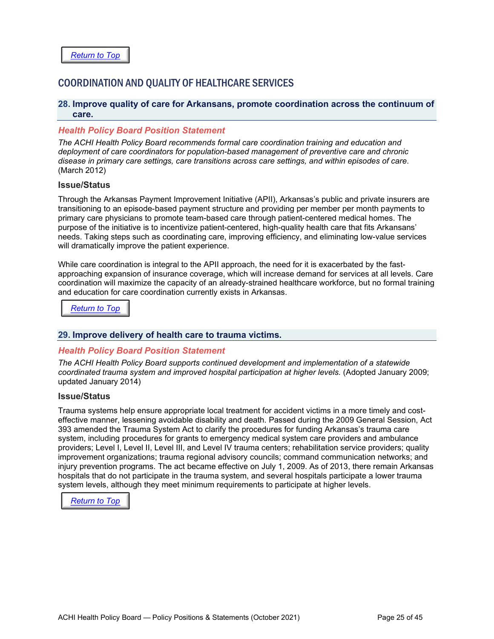## <span id="page-24-0"></span>COORDINATION AND QUALITY OF HEALTHCARE SERVICES

#### <span id="page-24-1"></span>**28. Improve quality of care for Arkansans, promote coordination across the continuum of care.**

#### *Health Policy Board Position Statement*

*The ACHI Health Policy Board recommends formal care coordination training and education and deployment of care coordinators for population-based management of preventive care and chronic disease in primary care settings, care transitions across care settings, and within episodes of care*. (March 2012)

#### **Issue/Status**

Through the Arkansas Payment Improvement Initiative (APII), Arkansas's public and private insurers are transitioning to an episode-based payment structure and providing per member per month payments to primary care physicians to promote team-based care through patient-centered medical homes. The purpose of the initiative is to incentivize patient-centered, high-quality health care that fits Arkansans' needs. Taking steps such as coordinating care, improving efficiency, and eliminating low-value services will dramatically improve the patient experience.

While care coordination is integral to the APII approach, the need for it is exacerbated by the fastapproaching expansion of insurance coverage, which will increase demand for services at all levels. Care coordination will maximize the capacity of an already-strained healthcare workforce, but no formal training and education for care coordination currently exists in Arkansas.

*[Return to Top](#page-0-0)*

#### <span id="page-24-2"></span>**29. Improve delivery of health care to trauma victims.**

#### *Health Policy Board Position Statement*

*The ACHI Health Policy Board supports continued development and implementation of a statewide coordinated trauma system and improved hospital participation at higher levels.* (Adopted January 2009; updated January 2014)

#### **Issue/Status**

Trauma systems help ensure appropriate local treatment for accident victims in a more timely and costeffective manner, lessening avoidable disability and death. Passed during the 2009 General Session, Act 393 amended the Trauma System Act to clarify the procedures for funding Arkansas's trauma care system, including procedures for grants to emergency medical system care providers and ambulance providers; Level I, Level II, Level III, and Level IV trauma centers; rehabilitation service providers; quality improvement organizations; trauma regional advisory councils; command communication networks; and injury prevention programs. The act became effective on July 1, 2009. As of 2013, there remain Arkansas hospitals that do not participate in the trauma system, and several hospitals participate a lower trauma system levels, although they meet minimum requirements to participate at higher levels.

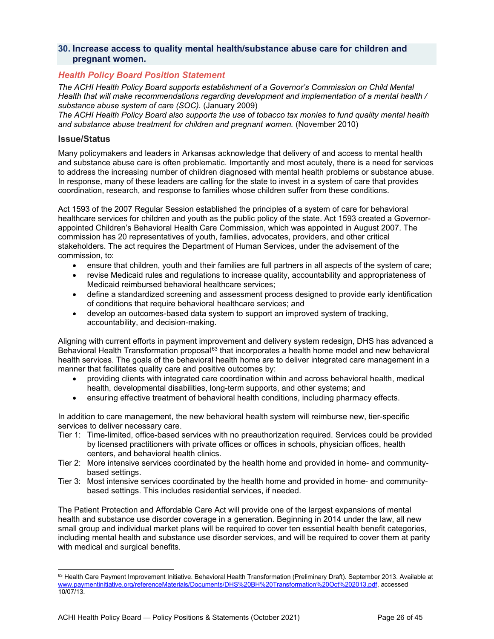#### <span id="page-25-0"></span>**30. Increase access to quality mental health/substance abuse care for children and pregnant women.**

#### *Health Policy Board Position Statement*

*The ACHI Health Policy Board supports establishment of a Governor's Commission on Child Mental Health that will make recommendations regarding development and implementation of a mental health / substance abuse system of care (SOC).* (January 2009)

*The ACHI Health Policy Board also supports the use of tobacco tax monies to fund quality mental health and substance abuse treatment for children and pregnant women.* (November 2010)

#### **Issue/Status**

Many policymakers and leaders in Arkansas acknowledge that delivery of and access to mental health and substance abuse care is often problematic. Importantly and most acutely, there is a need for services to address the increasing number of children diagnosed with mental health problems or substance abuse. In response, many of these leaders are calling for the state to invest in a system of care that provides coordination, research, and response to families whose children suffer from these conditions.

Act 1593 of the 2007 Regular Session established the principles of a system of care for behavioral healthcare services for children and youth as the public policy of the state. Act 1593 created a Governorappointed Children's Behavioral Health Care Commission, which was appointed in August 2007. The commission has 20 representatives of youth, families, advocates, providers, and other critical stakeholders. The act requires the Department of Human Services, under the advisement of the commission, to:

- ensure that children, youth and their families are full partners in all aspects of the system of care;
- revise Medicaid rules and regulations to increase quality, accountability and appropriateness of Medicaid reimbursed behavioral healthcare services;
- define a standardized screening and assessment process designed to provide early identification of conditions that require behavioral healthcare services; and
- develop an outcomes-based data system to support an improved system of tracking, accountability, and decision-making.

Aligning with current efforts in payment improvement and delivery system redesign, DHS has advanced a Behavioral Health Transformation proposal<sup>[63](#page-25-1)</sup> that incorporates a health home model and new behavioral health services. The goals of the behavioral health home are to deliver integrated care management in a manner that facilitates quality care and positive outcomes by:

- providing clients with integrated care coordination within and across behavioral health, medical health, developmental disabilities, long-term supports, and other systems; and
- ensuring effective treatment of behavioral health conditions, including pharmacy effects.

In addition to care management, the new behavioral health system will reimburse new, tier-specific services to deliver necessary care.

- Tier 1: Time-limited, office-based services with no preauthorization required. Services could be provided by licensed practitioners with private offices or offices in schools, physician offices, health centers, and behavioral health clinics.
- Tier 2: More intensive services coordinated by the health home and provided in home- and communitybased settings.
- Tier 3: Most intensive services coordinated by the health home and provided in home- and communitybased settings. This includes residential services, if needed.

The Patient Protection and Affordable Care Act will provide one of the largest expansions of mental health and substance use disorder coverage in a generation. Beginning in 2014 under the law, all new small group and individual market plans will be required to cover ten essential health benefit categories, including mental health and substance use disorder services, and will be required to cover them at parity with medical and surgical benefits.

<span id="page-25-1"></span><sup>63</sup> Health Care Payment Improvement Initiative. Behavioral Health Transformation (Preliminary Draft). September 2013. Available at [www.paymentinitiative.org/referenceMaterials/Documents/DHS%20BH%20Transformation%20Oct%202013.pdf,](http://www.paymentinitiative.org/referenceMaterials/Documents/DHS%20BH%20Transformation%20Oct%202013.pdf) accessed 10/07/13.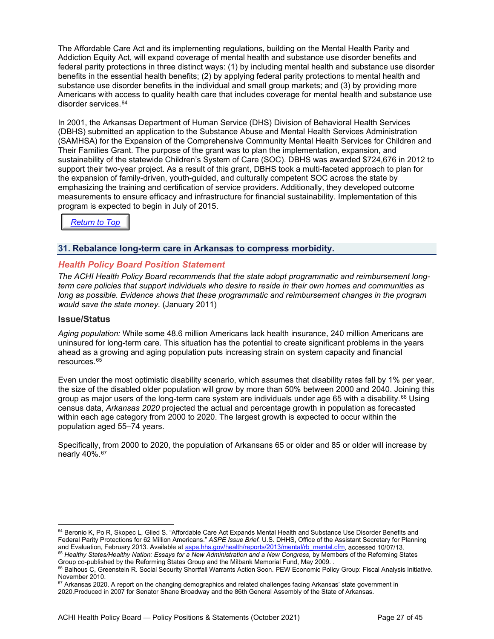The Affordable Care Act and its implementing regulations, building on the Mental Health Parity and Addiction Equity Act, will expand coverage of mental health and substance use disorder benefits and federal parity protections in three distinct ways: (1) by including mental health and substance use disorder benefits in the essential health benefits; (2) by applying federal parity protections to mental health and substance use disorder benefits in the individual and small group markets; and (3) by providing more Americans with access to quality health care that includes coverage for mental health and substance use disorder services.<sup>[64](#page-26-1)</sup>

In 2001, the Arkansas Department of Human Service (DHS) Division of Behavioral Health Services (DBHS) submitted an application to the Substance Abuse and Mental Health Services Administration (SAMHSA) for the Expansion of the Comprehensive Community Mental Health Services for Children and Their Families Grant. The purpose of the grant was to plan the implementation, expansion, and sustainability of the statewide Children's System of Care (SOC). DBHS was awarded \$724,676 in 2012 to support their two-year project. As a result of this grant, DBHS took a multi-faceted approach to plan for the expansion of family-driven, youth-guided, and culturally competent SOC across the state by emphasizing the training and certification of service providers. Additionally, they developed outcome measurements to ensure efficacy and infrastructure for financial sustainability. Implementation of this program is expected to begin in July of 2015.

*[Return to Top](#page-0-0)*

#### <span id="page-26-0"></span>**31. Rebalance long-term care in Arkansas to compress morbidity.**

#### *Health Policy Board Position Statement*

*The ACHI Health Policy Board recommends that the state adopt programmatic and reimbursement longterm care policies that support individuals who desire to reside in their own homes and communities as long as possible. Evidence shows that these programmatic and reimbursement changes in the program would save the state money.* (January 2011)

#### **Issue/Status**

*Aging population:* While some 48.6 million Americans lack health insurance, 240 million Americans are uninsured for long-term care. This situation has the potential to create significant problems in the years ahead as a growing and aging population puts increasing strain on system capacity and financial resources.[65](#page-26-2)

Even under the most optimistic disability scenario, which assumes that disability rates fall by 1% per year, the size of the disabled older population will grow by more than 50% between 2000 and 2040. Joining this group as major users of the long-term care system are individuals under age 65 with a disability.<sup>[66](#page-26-3)</sup> Using census data, *Arkansas 2020* projected the actual and percentage growth in population as forecasted within each age category from 2000 to 2020. The largest growth is expected to occur within the population aged 55–74 years.

Specifically, from 2000 to 2020, the population of Arkansans 65 or older and 85 or older will increase by nearly 40%.[67](#page-26-4)

<span id="page-26-1"></span><sup>64</sup> Beronio K, Po R, Skopec L, Glied S. "Affordable Care Act Expands Mental Health and Substance Use Disorder Benefits and Federal Parity Protections for 62 Million Americans." *ASPE Issue Brief.* U.S. DHHS, Office of the Assistant Secretary for Planning and Evaluation, February 2013. Available a[t aspe.hhs.gov/health/reports/2013/mental/rb\\_mental.cfm,](http://aspe.hhs.gov/health/reports/2013/mental/rb_mental.cfm) accessed 10/07/13. <sup>65</sup> Healthy States/Healthy Nation: Essays for a New Administration and a New Congress, by Members of the Reforming States Group co-published by the Reforming States Group and the Milbank Memorial Fund, May 2009. .

<span id="page-26-3"></span><span id="page-26-2"></span><sup>&</sup>lt;sup>66</sup> Balhous C, Greenstein R. Social Security Shortfall Warrants Action Soon. PEW Economic Policy Group: Fiscal Analysis Initiative. November 2010.

<span id="page-26-4"></span> $67$  Arkansas 2020. A report on the changing demographics and related challenges facing Arkansas' state government in 2020.Produced in 2007 for Senator Shane Broadway and the 86th General Assembly of the State of Arkansas.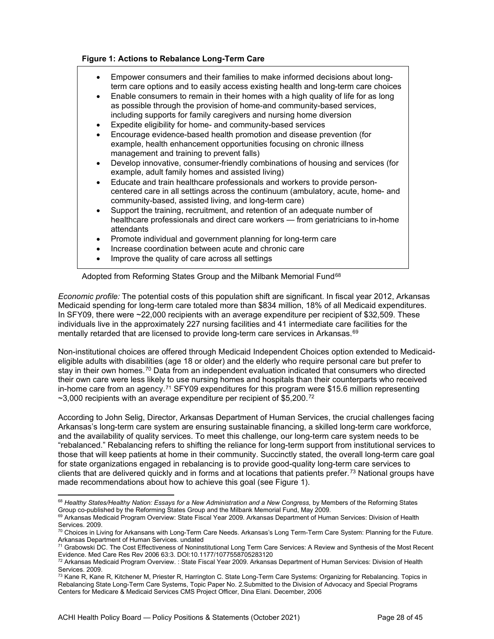#### **Figure 1: Actions to Rebalance Long-Term Care**

- Empower consumers and their families to make informed decisions about longterm care options and to easily access existing health and long-term care choices
- Enable consumers to remain in their homes with a high quality of life for as long as possible through the provision of home-and community-based services, including supports for family caregivers and nursing home diversion
- Expedite eligibility for home- and community-based services
- Encourage evidence-based health promotion and disease prevention (for example, health enhancement opportunities focusing on chronic illness management and training to prevent falls)
- Develop innovative, consumer-friendly combinations of housing and services (for example, adult family homes and assisted living)
- Educate and train healthcare professionals and workers to provide personcentered care in all settings across the continuum (ambulatory, acute, home- and community-based, assisted living, and long-term care)
- Support the training, recruitment, and retention of an adequate number of healthcare professionals and direct care workers — from geriatricians to in-home attendants
- Promote individual and government planning for long-term care
- Increase coordination between acute and chronic care
- Improve the quality of care across all settings

Adopted from Reforming States Group and the Milbank Memorial Fund<sup>[68](#page-27-0)</sup>

*Economic profile:* The potential costs of this population shift are significant. In fiscal year 2012, Arkansas Medicaid spending for long-term care totaled more than \$834 million, 18% of all Medicaid expenditures. In SFY09, there were ~22,000 recipients with an average expenditure per recipient of \$32,509. These individuals live in the approximately 227 nursing facilities and 41 intermediate care facilities for the mentally retarded that are licensed to provide long-term care services in Arkansas.<sup>[69](#page-27-1)</sup>

Non-institutional choices are offered through Medicaid Independent Choices option extended to Medicaideligible adults with disabilities (age 18 or older) and the elderly who require personal care but prefer to stay in their own homes.<sup>[70](#page-27-2)</sup> Data from an independent evaluation indicated that consumers who directed their own care were less likely to use nursing homes and hospitals than their counterparts who received in-home care from an agency.<sup>[71](#page-27-3)</sup> SFY09 expenditures for this program were \$15.6 million representing  $\sim$ 3,000 recipients with an average expenditure per recipient of \$5,200.<sup>[72](#page-27-4)</sup>

According to John Selig, Director, Arkansas Department of Human Services, the crucial challenges facing Arkansas's long-term care system are ensuring sustainable financing, a skilled long-term care workforce, and the availability of quality services. To meet this challenge, our long-term care system needs to be "rebalanced." Rebalancing refers to shifting the reliance for long-term support from institutional services to those that will keep patients at home in their community. Succinctly stated, the overall long-term care goal for state organizations engaged in rebalancing is to provide good-quality long-term care services to clients that are delivered quickly and in forms and at locations that patients prefer.[73](#page-27-5) National groups have made recommendations about how to achieve this goal (see Figure 1).

<span id="page-27-0"></span><sup>68</sup> *Healthy States/Healthy Nation: Essays for a New Administration and a New Congress,* by Members of the Reforming States Group co-published by the Reforming States Group and the Milbank Memorial Fund, May 2009.

<span id="page-27-1"></span><sup>&</sup>lt;sup>69</sup> Arkansas Medicaid Program Overview: State Fiscal Year 2009. Arkansas Department of Human Services: Division of Health Services. 2009.

<span id="page-27-2"></span> $70$  Choices in Living for Arkansans with Long-Term Care Needs. Arkansas's Long Term-Term Care System: Planning for the Future. Arkansas Department of Human Services. undated

<span id="page-27-3"></span> $^{71}$  Grabowski DC. The Cost Effectiveness of Noninstitutional Long Term Care Services: A Review and Synthesis of the Most Recent Evidence. Med Care Res Rev 2006 63:3. DOI:10.1177/1077558705283120

<span id="page-27-4"></span> $72$  Arkansas Medicaid Program Overview. : State Fiscal Year 2009. Arkansas Department of Human Services: Division of Health Services. 2009.

<span id="page-27-5"></span><sup>73</sup> Kane R, Kane R, Kitchener M, Priester R, Harrington C. State Long-Term Care Systems: Organizing for Rebalancing. Topics in Rebalancing State Long-Term Care Systems, Topic Paper No. 2.Submitted to the Division of Advocacy and Special Programs Centers for Medicare & Medicaid Services CMS Project Officer, Dina Elani. December, 2006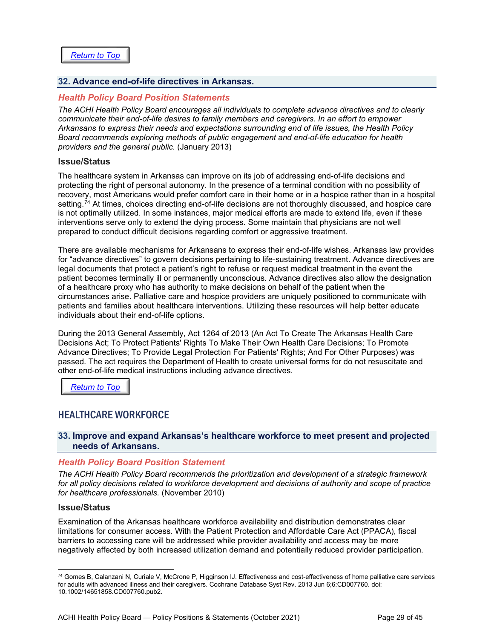#### <span id="page-28-0"></span>**32. Advance end-of-life directives in Arkansas.**

#### *Health Policy Board Position Statements*

*The ACHI Health Policy Board encourages all individuals to complete advance directives and to clearly communicate their end-of-life desires to family members and caregivers. In an effort to empower Arkansans to express their needs and expectations surrounding end of life issues, the Health Policy Board recommends exploring methods of public engagement and end-of-life education for health providers and the general public.* (January 2013)

#### **Issue/Status**

The healthcare system in Arkansas can improve on its job of addressing end-of-life decisions and protecting the right of personal autonomy. In the presence of a terminal condition with no possibility of recovery, most Americans would prefer comfort care in their home or in a hospice rather than in a hospital setting.<sup>[74](#page-28-3)</sup> At times, choices directing end-of-life decisions are not thoroughly discussed, and hospice care is not optimally utilized. In some instances, major medical efforts are made to extend life, even if these interventions serve only to extend the dying process. Some maintain that physicians are not well prepared to conduct difficult decisions regarding comfort or aggressive treatment.

There are available mechanisms for Arkansans to express their end-of-life wishes. Arkansas law provides for "advance directives" to govern decisions pertaining to life-sustaining treatment. Advance directives are legal documents that protect a patient's right to refuse or request medical treatment in the event the patient becomes terminally ill or permanently unconscious. Advance directives also allow the designation of a healthcare proxy who has authority to make decisions on behalf of the patient when the circumstances arise. Palliative care and hospice providers are uniquely positioned to communicate with patients and families about healthcare interventions. Utilizing these resources will help better educate individuals about their end-of-life options.

During the 2013 General Assembly, Act 1264 of 2013 (An Act To Create The Arkansas Health Care Decisions Act; To Protect Patients' Rights To Make Their Own Health Care Decisions; To Promote Advance Directives; To Provide Legal Protection For Patients' Rights; And For Other Purposes) was passed. The act requires the Department of Health to create universal forms for do not resuscitate and other end-of-life medical instructions including advance directives.

*[Return to Top](#page-0-0)*

#### <span id="page-28-1"></span>HEALTHCARE WORKFORCE

#### <span id="page-28-2"></span>**33. Improve and expand Arkansas's healthcare workforce to meet present and projected needs of Arkansans.**

#### *Health Policy Board Position Statement*

*The ACHI Health Policy Board recommends the prioritization and development of a strategic framework for all policy decisions related to workforce development and decisions of authority and scope of practice for healthcare professionals.* (November 2010)

#### **Issue/Status**

Examination of the Arkansas healthcare workforce availability and distribution demonstrates clear limitations for consumer access. With the Patient Protection and Affordable Care Act (PPACA), fiscal barriers to accessing care will be addressed while provider availability and access may be more negatively affected by both increased utilization demand and potentially reduced provider participation.

<span id="page-28-3"></span><sup>74</sup> [Gomes B,](http://www.ncbi.nlm.nih.gov/pubmed?term=Gomes%20B%5BAuthor%5D&cauthor=true&cauthor_uid=23744578) [Calanzani N,](http://www.ncbi.nlm.nih.gov/pubmed?term=Calanzani%20N%5BAuthor%5D&cauthor=true&cauthor_uid=23744578) [Curiale V,](http://www.ncbi.nlm.nih.gov/pubmed?term=Curiale%20V%5BAuthor%5D&cauthor=true&cauthor_uid=23744578) [McCrone P,](http://www.ncbi.nlm.nih.gov/pubmed?term=McCrone%20P%5BAuthor%5D&cauthor=true&cauthor_uid=23744578) [Higginson IJ.](http://www.ncbi.nlm.nih.gov/pubmed?term=Higginson%20IJ%5BAuthor%5D&cauthor=true&cauthor_uid=23744578) Effectiveness and cost-effectiveness of home palliative care services for adults with advanced illness and their caregivers[. Cochrane Database Syst Rev.](http://www.ncbi.nlm.nih.gov/pubmed/23744578) 2013 Jun 6;6:CD007760. doi: 10.1002/14651858.CD007760.pub2.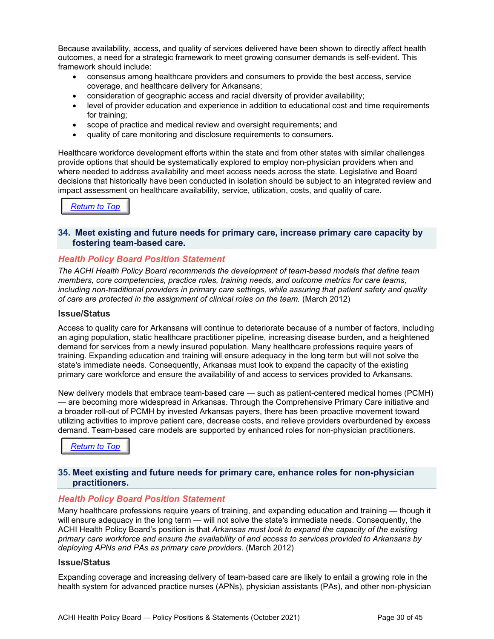Because availability, access, and quality of services delivered have been shown to directly affect health outcomes, a need for a strategic framework to meet growing consumer demands is self-evident. This framework should include:

- consensus among healthcare providers and consumers to provide the best access, service coverage, and healthcare delivery for Arkansans;
- consideration of geographic access and racial diversity of provider availability;
- level of provider education and experience in addition to educational cost and time requirements for training;
- scope of practice and medical review and oversight requirements; and
- quality of care monitoring and disclosure requirements to consumers.

Healthcare workforce development efforts within the state and from other states with similar challenges provide options that should be systematically explored to employ non-physician providers when and where needed to address availability and meet access needs across the state. Legislative and Board decisions that historically have been conducted in isolation should be subject to an integrated review and impact assessment on healthcare availability, service, utilization, costs, and quality of care.

## <span id="page-29-0"></span>*[Return to Top](#page-0-0)*

#### **34. Meet existing and future needs for primary care, increase primary care capacity by fostering team-based care.**

#### *Health Policy Board Position Statement*

*The ACHI Health Policy Board recommends the development of team-based models that define team members, core competencies, practice roles, training needs, and outcome metrics for care teams, including non-traditional providers in primary care settings, while assuring that patient safety and quality of care are protected in the assignment of clinical roles on the team.* (March 2012)

#### **Issue/Status**

Access to quality care for Arkansans will continue to deteriorate because of a number of factors, including an aging population, static healthcare practitioner pipeline, increasing disease burden, and a heightened demand for services from a newly insured population. Many healthcare professions require years of training. Expanding education and training will ensure adequacy in the long term but will not solve the state's immediate needs. Consequently, Arkansas must look to expand the capacity of the existing primary care workforce and ensure the availability of and access to services provided to Arkansans.

New delivery models that embrace team-based care — such as patient-centered medical homes (PCMH) — are becoming more widespread in Arkansas. Through the Comprehensive Primary Care initiative and a broader roll-out of PCMH by invested Arkansas payers, there has been proactive movement toward utilizing activities to improve patient care, decrease costs, and relieve providers overburdened by excess demand. Team-based care models are supported by enhanced roles for non-physician practitioners.

*[Return to Top](#page-0-0)*

#### <span id="page-29-1"></span>**35. Meet existing and future needs for primary care, enhance roles for non-physician practitioners.**

#### *Health Policy Board Position Statement*

Many healthcare professions require years of training, and expanding education and training — though it will ensure adequacy in the long term — will not solve the state's immediate needs. Consequently, the ACHI Health Policy Board's position is that *Arkansas must look to expand the capacity of the existing primary care workforce and ensure the availability of and access to services provided to Arkansans by deploying APNs and PAs as primary care providers.* (March 2012)

#### **Issue/Status**

Expanding coverage and increasing delivery of team-based care are likely to entail a growing role in the health system for advanced practice nurses (APNs), physician assistants (PAs), and other non-physician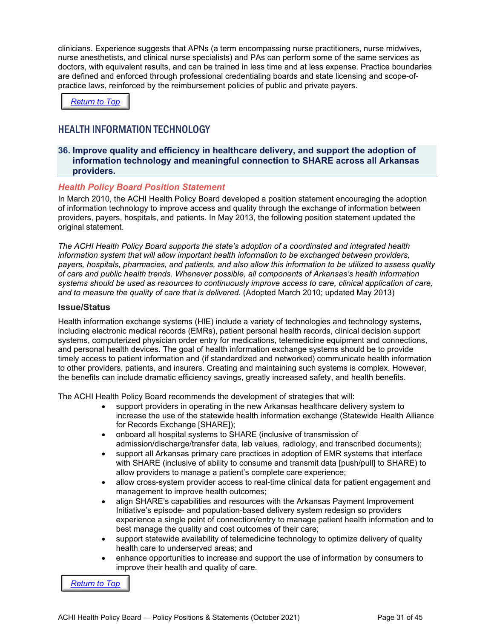clinicians. Experience suggests that APNs (a term encompassing nurse practitioners, nurse midwives, nurse anesthetists, and clinical nurse specialists) and PAs can perform some of the same services as doctors, with equivalent results, and can be trained in less time and at less expense. Practice boundaries are defined and enforced through professional credentialing boards and state licensing and scope-ofpractice laws, reinforced by the reimbursement policies of public and private payers.

*[Return to Top](#page-0-0)*

## <span id="page-30-0"></span>HEALTH INFORMATION TECHNOLOGY

#### <span id="page-30-1"></span>**36. Improve quality and efficiency in healthcare delivery, and support the adoption of information technology and meaningful connection to SHARE across all Arkansas providers.**

#### *Health Policy Board Position Statement*

In March 2010, the ACHI Health Policy Board developed a position statement encouraging the adoption of information technology to improve access and quality through the exchange of information between providers, payers, hospitals, and patients. In May 2013, the following position statement updated the original statement.

*The ACHI Health Policy Board supports the state's adoption of a coordinated and integrated health information system that will allow important health information to be exchanged between providers, payers, hospitals, pharmacies, and patients, and also allow this information to be utilized to assess quality of care and public health trends. Whenever possible, all components of Arkansas's health information systems should be used as resources to continuously improve access to care, clinical application of care, and to measure the quality of care that is delivered*. (Adopted March 2010; updated May 2013)

#### **Issue/Status**

Health information exchange systems (HIE) include a variety of technologies and technology systems, including electronic medical records (EMRs), patient personal health records, clinical decision support systems, computerized physician order entry for medications, telemedicine equipment and connections, and personal health devices. The goal of health information exchange systems should be to provide timely access to patient information and (if standardized and networked) communicate health information to other providers, patients, and insurers. Creating and maintaining such systems is complex. However, the benefits can include dramatic efficiency savings, greatly increased safety, and health benefits.

The ACHI Health Policy Board recommends the development of strategies that will:

- support providers in operating in the new Arkansas healthcare delivery system to increase the use of the statewide health information exchange (Statewide Health Alliance for Records Exchange [SHARE]);
- onboard all hospital systems to SHARE (inclusive of transmission of admission/discharge/transfer data, lab values, radiology, and transcribed documents);
- support all Arkansas primary care practices in adoption of EMR systems that interface with SHARE (inclusive of ability to consume and transmit data [push/pull] to SHARE) to allow providers to manage a patient's complete care experience;
- allow cross-system provider access to real-time clinical data for patient engagement and management to improve health outcomes;
- align SHARE's capabilities and resources with the Arkansas Payment Improvement Initiative's episode- and population-based delivery system redesign so providers experience a single point of connection/entry to manage patient health information and to best manage the quality and cost outcomes of their care;
- support statewide availability of telemedicine technology to optimize delivery of quality health care to underserved areas; and
- enhance opportunities to increase and support the use of information by consumers to improve their health and quality of care.

*[Return to Top](#page-0-0)*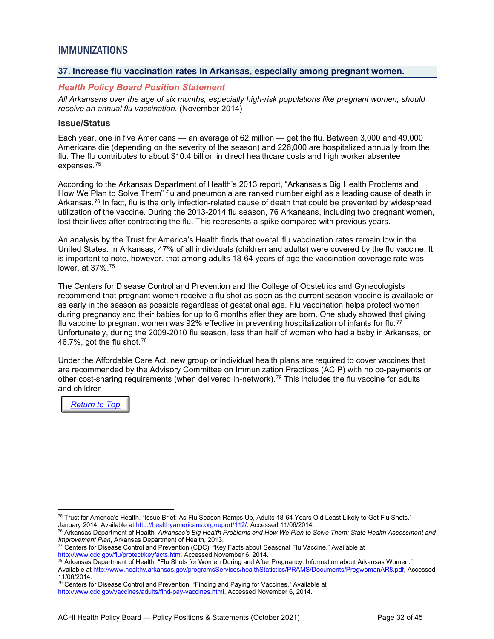## <span id="page-31-0"></span>IMMUNIZATIONS

#### <span id="page-31-1"></span>**37. Increase flu vaccination rates in Arkansas, especially among pregnant women.**

#### *Health Policy Board Position Statement*

*All Arkansans over the age of six months, especially high-risk populations like pregnant women, should receive an annual flu vaccination.* (November 2014)

#### **Issue/Status**

Each year, one in five Americans — an average of 62 million — get the flu. Between 3,000 and 49,000 Americans die (depending on the severity of the season) and 226,000 are hospitalized annually from the flu. The flu contributes to about \$10.4 billion in direct healthcare costs and high worker absentee expenses.[75](#page-31-3)

<span id="page-31-2"></span>According to the Arkansas Department of Health's 2013 report, "Arkansas's Big Health Problems and How We Plan to Solve Them" flu and pneumonia are ranked number eight as a leading cause of death in Arkansas.[76](#page-31-4) In fact, flu is the only infection-related cause of death that could be prevented by widespread utilization of the vaccine. During the 2013-2014 flu season, 76 Arkansans, including two pregnant women, lost their lives after contracting the flu. This represents a spike compared with previous years.

An analysis by the Trust for America's Health finds that overall flu vaccination rates remain low in the United States. In Arkansas, 47% of all individuals (children and adults) were covered by the flu vaccine. It is important to note, however, that among adults 18-64 years of age the vaccination coverage rate was lower, at 37%. [75](#page-31-2)

The Centers for Disease Control and Prevention and the College of Obstetrics and Gynecologists recommend that pregnant women receive a flu shot as soon as the current season vaccine is available or as early in the season as possible regardless of gestational age. Flu vaccination helps protect women during pregnancy and their babies for up to 6 months after they are born. One study showed that giving flu vaccine to pregnant women was 92% effective in preventing hospitalization of infants for flu.<sup>[77](#page-31-5)</sup> Unfortunately, during the 2009-2010 flu season, less than half of women who had a baby in Arkansas, or 46.7%, got the flu shot.[78](#page-31-6)

Under the Affordable Care Act, new group or individual health plans are required to cover vaccines that are recommended by the Advisory Committee on Immunization Practices (ACIP) with no co-payments or other cost-sharing requirements (when delivered in-network).[79](#page-31-7) This includes the flu vaccine for adults and children.

*[Return to Top](#page-0-0)*

<span id="page-31-3"></span><sup>&</sup>lt;sup>75</sup> Trust for America's Health. "Issue Brief: As Flu Season Ramps Up, Adults 18-64 Years Old Least Likely to Get Flu Shots." January 2014. Available a[t http://healthyamericans.org/report/112/.](http://healthyamericans.org/report/112/) Accessed 11/06/2014.

<span id="page-31-4"></span><sup>76</sup> Arkansas Department of Health. *Arkansas's Big Health Problems and How We Plan to Solve Them: State Health Assessment and Improvement Plan*, Arkansas Department of Health, 2013.<br><sup>77</sup> Centers for Disease Control and Prevention (CDC). "Key Facts about Seasonal Flu Vaccine." Available at

<span id="page-31-5"></span>[http://www.cdc.gov/flu/protect/keyfacts.htm.](http://www.cdc.gov/flu/protect/keyfacts.htm) Accessed November 6, 2014.

<span id="page-31-6"></span> $^{78}$  Arkansas Department of Health. "Flu Shots for Women During and After Pregnancy: Information about Arkansas Women." Available a[t http://www.healthy.arkansas.gov/programsServices/healthStatistics/PRAMS/Documents/PregwomanAR8.pdf,](http://www.healthy.arkansas.gov/programsServices/healthStatistics/PRAMS/Documents/PregwomanAR8.pdf) Accessed 11/06/2014.

<span id="page-31-7"></span> $79$  Centers for Disease Control and Prevention. "Finding and Paying for Vaccines." Available at [http://www.cdc.gov/vaccines/adults/find-pay-vaccines.html,](http://www.cdc.gov/vaccines/adults/find-pay-vaccines.html) Accessed November 6, 2014.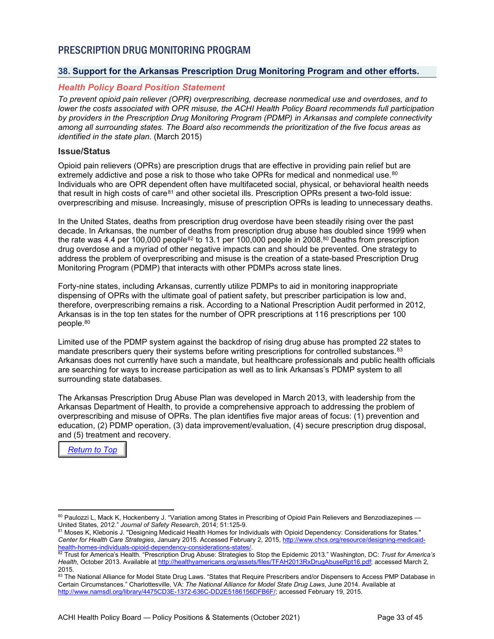## <span id="page-32-0"></span>PRESCRIPTION DRUG MONITORING PROGRAM

#### <span id="page-32-1"></span>**38. Support for the Arkansas Prescription Drug Monitoring Program and other efforts.**

#### *Health Policy Board Position Statement*

*To prevent opioid pain reliever (OPR) overprescribing, decrease nonmedical use and overdoses, and to lower the costs associated with OPR misuse, the ACHI Health Policy Board recommends full participation by providers in the Prescription Drug Monitoring Program (PDMP) in Arkansas and complete connectivity among all surrounding states. The Board also recommends the prioritization of the five focus areas as identified in the state plan.* (March 2015)

#### **Issue/Status**

<span id="page-32-2"></span>Opioid pain relievers (OPRs) are prescription drugs that are effective in providing pain relief but are extremely addictive and pose a risk to those who take OPRs for medical and nonmedical use.<sup>[80](#page-32-3)</sup> Individuals who are OPR dependent often have multifaceted social, physical, or behavioral health needs that result in high costs of care<sup>[81](#page-32-4)</sup> and other societal ills. Prescription OPRs present a two-fold issue: overprescribing and misuse. Increasingly, misuse of prescription OPRs is leading to unnecessary deaths.

In the United States, deaths from prescription drug overdose have been steadily rising over the past decade. In Arkansas, the number of deaths from prescription drug abuse has doubled since 1999 when the rate was 4.4 per 100,000 people<sup>[82](#page-32-5)</sup> to 13.1 per 100,000 people in 2008.<sup>80</sup> Deaths from prescription drug overdose and a myriad of other negative impacts can and should be prevented. One strategy to address the problem of overprescribing and misuse is the creation of a state-based Prescription Drug Monitoring Program (PDMP) that interacts with other PDMPs across state lines.

Forty-nine states, including Arkansas, currently utilize PDMPs to aid in monitoring inappropriate dispensing of OPRs with the ultimate goal of patient safety, but prescriber participation is low and, therefore, overprescribing remains a risk. According to a National Prescription Audit performed in 2012, Arkansas is in the top ten states for the number of OPR prescriptions at 116 prescriptions per 100 people[.80](#page-32-2)

Limited use of the PDMP system against the backdrop of rising drug abuse has prompted 22 states to mandate prescribers query their systems before writing prescriptions for controlled substances.<sup>[83](#page-32-6)</sup> Arkansas does not currently have such a mandate, but healthcare professionals and public health officials are searching for ways to increase participation as well as to link Arkansas's PDMP system to all surrounding state databases.

The Arkansas Prescription Drug Abuse Plan was developed in March 2013, with leadership from the Arkansas Department of Health, to provide a comprehensive approach to addressing the problem of overprescribing and misuse of OPRs. The plan identifies five major areas of focus: (1) prevention and education, (2) PDMP operation, (3) data improvement/evaluation, (4) secure prescription drug disposal, and (5) treatment and recovery.



<span id="page-32-3"></span><sup>80</sup> Paulozzi L, Mack K, Hockenberry J. "Variation among States in Prescribing of Opioid Pain Relievers and Benzodiazepines — United States, 2012." *Journal of Safety Research*, 2014; 51:125-9.

<span id="page-32-4"></span><sup>81</sup> Moses K, Klebonis J. "Designing Medicaid Health Homes for Individuals with Opioid Dependency: Considerations for States." *Center for Health Care Strategies*, January 2015. Accessed February 2, 2015[, http://www.chcs.org/resource/designing-medicaid](http://www.chcs.org/resource/designing-medicaid-health-homes-individuals-opioid-dependency-considerations-states/)[health-homes-individuals-opioid-dependency-considerations-states/.](http://www.chcs.org/resource/designing-medicaid-health-homes-individuals-opioid-dependency-considerations-states/)

<span id="page-32-5"></span><sup>82</sup> Trust for America's Health. "Prescription Drug Abuse: Strategies to Stop the Epidemic 2013." Washington, DC: *Trust for America's Health*, October 2013. Available at [http://healthyamericans.org/assets/files/TFAH2013RxDrugAbuseRpt16.pdf;](http://healthyamericans.org/assets/files/TFAH2013RxDrugAbuseRpt16.pdf) accessed March 2, 2015.

<span id="page-32-6"></span><sup>83</sup> The National Alliance for Model State Drug Laws. "States that Require Prescribers and/or Dispensers to Access PMP Database in Certain Circumstances." Charlottesville, VA: *The National Alliance for Model State Drug Laws*, June 2014. Available at [http://www.namsdl.org/library/4475CD3E-1372-636C-DD2E5186156DFB6F/;](http://www.namsdl.org/library/4475CD3E-1372-636C-DD2E5186156DFB6F/) accessed February 19, 2015.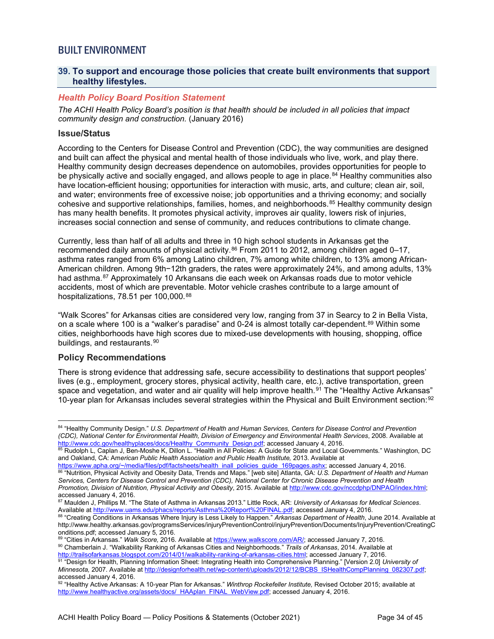## <span id="page-33-0"></span>BUILT ENVIRONMENT

#### <span id="page-33-1"></span>**39. To support and encourage those policies that create built environments that support healthy lifestyles.**

#### *Health Policy Board Position Statement*

*The ACHI Health Policy Board's position is that health should be included in all policies that impact community design and construction.* (January 2016)

#### **Issue/Status**

According to the Centers for Disease Control and Prevention (CDC), the way communities are designed and built can affect the physical and mental health of those individuals who live, work, and play there. Healthy community design decreases dependence on automobiles, provides opportunities for people to be physically active and socially engaged, and allows people to age in place.<sup>[84](#page-33-2)</sup> Healthy communities also have location-efficient housing; opportunities for interaction with music, arts, and culture; clean air, soil, and water; environments free of excessive noise; job opportunities and a thriving economy; and socially cohesive and supportive relationships, families, homes, and neighborhoods.<sup>[85](#page-33-3)</sup> Healthy community design has many health benefits. It promotes physical activity, improves air quality, lowers risk of injuries, increases social connection and sense of community, and reduces contributions to climate change.

Currently, less than half of all adults and three in 10 high school students in Arkansas get the recommended daily amounts of physical activity. $86$  From 2011 to 2012, among children aged 0–17, asthma rates ranged from 6% among Latino children, 7% among white children, to 13% among African-American children. Among 9th−12th graders, the rates were approximately 24%, and among adults, 13% had asthma.<sup>[87](#page-33-5)</sup> Approximately 10 Arkansans die each week on Arkansas roads due to motor vehicle accidents, most of which are preventable. Motor vehicle crashes contribute to a large amount of hospitalizations, 78.51 per 100,000.[88](#page-33-6)

"Walk Scores" for Arkansas cities are considered very low, ranging from 37 in Searcy to 2 in Bella Vista, on a scale where 100 is a "walker's paradise" and 0-24 is almost totally car-dependent.<sup>[89](#page-33-7)</sup> Within some cities, neighborhoods have high scores due to mixed-use developments with housing, shopping, office buildings, and restaurants.[90](#page-33-8)

#### **Policy Recommendations**

There is strong evidence that addressing safe, secure accessibility to destinations that support peoples' lives (e.g., employment, grocery stores, physical activity, health care, etc.), active transportation, green space and vegetation, and water and air quality will help improve health.<sup>[91](#page-33-9)</sup> The "Healthy Active Arkansas" 10-year plan for Arkansas includes several strategies within the Physical and Built Environment section:<sup>[92](#page-33-10)</sup>

<span id="page-33-8"></span><span id="page-33-7"></span>89 "Cities in Arkansas." Walk Score, 2016. Available a[t https://www.walkscore.com/AR/;](https://www.walkscore.com/AR/) accessed January 7, 2016. <sup>90</sup> Chamberlain J. "Walkability Ranking of Arkansas Cities and Neighborhoods." *Trails of Arkansas*, 2014. Available at [http://trailsofarkansas.blogspot.com/2014/01/walkability-ranking-of-arkansas-cities.html;](http://trailsofarkansas.blogspot.com/2014/01/walkability-ranking-of-arkansas-cities.html) accessed January 7, 2016.

<span id="page-33-2"></span><sup>84</sup> "Healthy Community Design." *U.S. Department of Health and Human Services, Centers for Disease Control and Prevention (CDC), National Center for Environmental Health, Division of Emergency and Environmental Health Services*, 2008. Available at [http://www.cdc.gov/healthyplaces/docs/Healthy\\_Community\\_Design.pdf;](http://www.cdc.gov/healthyplaces/docs/Healthy_Community_Design.pdf) accessed January 4, 2016.

<span id="page-33-3"></span><sup>85</sup> Rudolph L, Caplan J, Ben-Moshe K, Dillon L. "Health in All Policies: A Guide for State and Local Governments*.*" Washington, DC and Oakland, CA: Am*erican Public Health Association and Public Health Institute,* 2013. Available at

<span id="page-33-4"></span><sup>&</sup>lt;u>https://www.apha.org/~/media/files/pdf/factsheets/health\_inall\_policies\_guide\_169pages.ashx</u>; accessed January 4, 2016. <sup>86</sup> "Nutrition, Physical Activity and Obesity Data, Trends and Maps." [web site] Atlanta, GA: *U.S. Department of Health and Human Services, Centers for Disease Control and Prevention (CDC), National Center for Chronic Disease Prevention and Health Promotion, Division of Nutrition, Physical Activity and Obesity*, 2015. Available at [http://www.cdc.gov/nccdphp/DNPAO/index.html;](http://www.cdc.gov/nccdphp/DNPAO/index.html) accessed January 4, 2016.

<span id="page-33-5"></span><sup>87</sup> Maulden J, Phillips M. "The State of Asthma in Arkansas 2013." Little Rock, AR: *University of Arkansas for Medical Sciences*. Available at <u>http://www.uams.edu/phacs/reports/Asthma%20Report%20FINAL.pdf;</u> accessed January 4, 2016.

<span id="page-33-6"></span><sup>88</sup> "Creating Conditions in Arkansas Where Injury is Less Likely to Happen." *Arkansas Department of Health*, June 2014. Available at http://www.healthy.arkansas.gov/programsServices/injuryPreventionControl/injuryPrevention/Documents/InjuryPrevention/CreatingC onditions.pdf; accessed January 5, 2016.

<span id="page-33-9"></span><sup>91 &</sup>quot;Design for Health, Planning Information Sheet: Integrating Health into Comprehensive Planning." [Version 2.0] University of *Minnesota,* 2007. Available a[t http://designforhealth.net/wp-content/uploads/2012/12/BCBS\\_ISHealthCompPlanning\\_082307.pdf;](http://designforhealth.net/wp-content/uploads/2012/12/BCBS_ISHealthCompPlanning_082307.pdf) accessed January 4, 2016.

<span id="page-33-10"></span><sup>92</sup> "Healthy Active Arkansas: A 10-year Plan for Arkansas." *Winthrop Rockefeller Institute,* Revised October 2015; available at [http://www.healthyactive.org/assets/docs/\\_HAAplan\\_FINAL\\_WebView.pdf;](http://www.healthyactive.org/assets/docs/_HAAplan_FINAL_WebView.pdf) accessed January 4, 2016.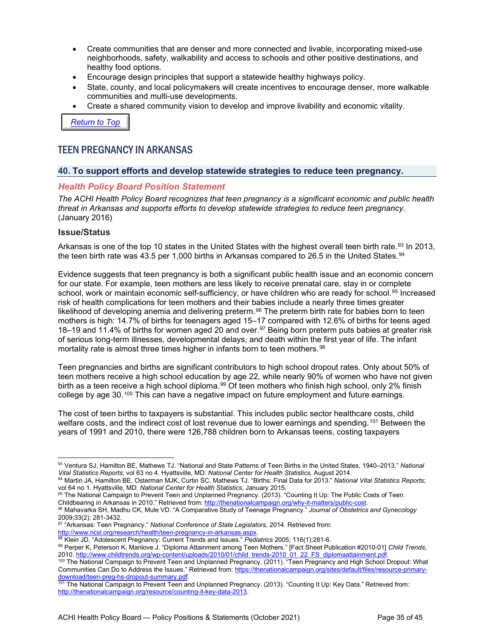- Create communities that are denser and more connected and livable, incorporating mixed-use neighborhoods, safety, walkability and access to schools and other positive destinations, and healthy food options.
- Encourage design principles that support a statewide healthy highways policy.
- State, county, and local policymakers will create incentives to encourage denser, more walkable communities and multi-use developments.
- Create a shared community vision to develop and improve livability and economic vitality.

*[Return to Top](#page-0-0)*

## <span id="page-34-0"></span>TEEN PREGNANCY IN ARKANSAS

#### <span id="page-34-1"></span>**40. To support efforts and develop statewide strategies to reduce teen pregnancy.**

#### *Health Policy Board Position Statement*

*The ACHI Health Policy Board recognizes that teen pregnancy is a significant economic and public health threat in Arkansas and supports efforts to develop statewide strategies to reduce teen pregnancy.*  (January 2016)

#### **Issue/Status**

Arkansas is one of the top 10 states in the United States with the highest overall teen birth rate.<sup>[93](#page-34-2)</sup> In 2013, the teen birth rate was 43.5 per 1,000 births in Arkansas compared to 26.5 in the United States.<sup>[94](#page-34-3)</sup>

Evidence suggests that teen pregnancy is both a significant public health issue and an economic concern for our state. For example, teen mothers are less likely to receive prenatal care, stay in or complete school, work or maintain economic self-sufficiency, or have children who are ready for school.<sup>[95](#page-34-4)</sup> Increased risk of health complications for teen mothers and their babies include a nearly three times greater likelihood of developing anemia and delivering preterm.<sup>[96](#page-34-5)</sup> The preterm birth rate for babies born to teen mothers is high: 14.7% of births for teenagers aged 15–17 compared with 12.6% of births for teens aged 18–19 and 11.4% of births for women aged 20 and over.<sup>[97](#page-34-6)</sup> Being born preterm puts babies at greater risk of serious long-term illnesses, developmental delays, and death within the first year of life. The infant mortality rate is almost three times higher in infants born to teen mothers. [98](#page-34-7)

Teen pregnancies and births are significant contributors to high school dropout rates. Only about 50% of teen mothers receive a high school education by age 22, while nearly 90% of women who have not given birth as a teen receive a high school diploma.<sup>[99](#page-34-8)</sup> Of teen mothers who finish high school, only 2% finish college by age 30.<sup>[100](#page-34-9)</sup> This can have a negative impact on future employment and future earnings.

The cost of teen births to taxpayers is substantial. This includes public sector healthcare costs, child welfare costs, and the indirect cost of lost revenue due to lower earnings and spending.<sup>[101](#page-34-10)</sup> Between the years of 1991 and 2010, there were 126,788 children born to Arkansas teens, costing taxpayers

<span id="page-34-2"></span><sup>93</sup> Ventura SJ, Hamilton BE, Mathews TJ. "National and State Patterns of Teen Births in the United States, 1940–2013." National<br>Vital Statistics Reports: vol 63 no 4. Hyattsville, MD: National Center for Health Statistics,

<span id="page-34-3"></span><sup>94</sup> Martin JA, Hamilton BE, Osterman MJK, Curtin SC, Mathews TJ. "Births: Final Data for 2013." National Vital Statistics Reports; vol 64 no 1. Hyattsville, MD: *National Center for Health Statistics*, January 2015.

<span id="page-34-4"></span><sup>&</sup>lt;sup>95</sup> The National Campaign to Prevent Teen and Unplanned Pregnancy. (2013). "Counting It Up: The Public Costs of Teen<br>Childbearing in Arkansas in 2010." Retrieved from: http://thenationalcampaign.org/why-it-matters/public-

<span id="page-34-5"></span><sup>&</sup>lt;sup>96</sup> Mahavarka SH, Madhu CK, Mule VD. "A Comparative Study of Teenage Pregnancy." Journal of Obstetrics and Gynecology 2009;33(2); 281-3432.

<span id="page-34-6"></span><sup>97</sup> "Arkansas: Teen Pregnancy." *National Conference of State Legislators,* 2014. Retrieved from:

[http://www.ncsl.org/research/health/teen-pregnancy-in-arkansas.aspx.](http://www.ncsl.org/research/health/teen-pregnancy-in-arkansas.aspx)

<span id="page-34-7"></span><sup>98</sup> Klein JD. "Adolescent Pregnancy: Current Trends and Issues." *Pediatrics* 2005; 116(1):281-6.

<span id="page-34-8"></span><sup>99</sup> Perper K, Peterson K, Manlove J. "Diploma Attainment among Teen Mothers." [Fact Sheet Publication #2010-01] *Child Trends*, 2010[. http://www.childtrends.org/wp-content/uploads/2010/01/child\\_trends-2010\\_01\\_22\\_FS\\_diplomaattainment.pdf.](http://www.childtrends.org/wp-content/uploads/2010/01/child_trends-2010_01_22_FS_diplomaattainment.pdf)

<span id="page-34-9"></span><sup>&</sup>lt;sup>100</sup> The National Campaign to Prevent Teen and Unplanned Pregnancy. (2011). "Teen Pregnancy and High School Dropout: What Communities Can Do to Address the Issues." Retrieved from[: https://thenationalcampaign.org/sites/default/files/resource-primary](https://thenationalcampaign.org/sites/default/files/resource-primary-download/teen-preg-hs-dropout-summary.pdf)download/teen-preg-hs-dropout-summary.pdf.<br><sup>101</sup> The National Campaign to Prevent Teen and Unplanned Pregnancy. (2013). "Counting It Up: Key Data." Retrieved from:

<span id="page-34-10"></span>[http://thenationalcampaign.org/resource/counting-it-key-data-2013.](http://thenationalcampaign.org/resource/counting-it-key-data-2013)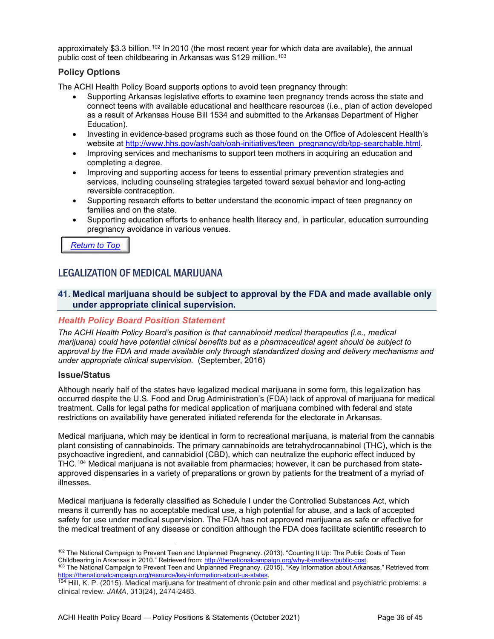approximately \$3.3 billion.<sup>[102](#page-35-2)</sup> In 2010 (the most recent year for which data are available), the annual public cost of teen childbearing in Arkansas was \$129 million.<sup>[103](#page-35-3)</sup>

#### **Policy Options**

The ACHI Health Policy Board supports options to avoid teen pregnancy through:

- Supporting Arkansas legislative efforts to examine teen pregnancy trends across the state and connect teens with available educational and healthcare resources (i.e., plan of action developed as a result of Arkansas House Bill 1534 and submitted to the Arkansas Department of Higher Education).
- Investing in evidence-based programs such as those found on the Office of Adolescent Health's website at [http://www.hhs.gov/ash/oah/oah-initiatives/teen\\_pregnancy/db/tpp-searchable.html.](http://www.hhs.gov/ash/oah/oah-initiatives/teen_pregnancy/db/tpp-searchable.html)
- Improving services and mechanisms to support teen mothers in acquiring an education and completing a degree.
- Improving and supporting access for teens to essential primary prevention strategies and services, including counseling strategies targeted toward sexual behavior and long-acting reversible contraception.
- Supporting research efforts to better understand the economic impact of teen pregnancy on families and on the state.
- Supporting education efforts to enhance health literacy and, in particular, education surrounding pregnancy avoidance in various venues.

*[Return to Top](#page-0-0)*

### <span id="page-35-0"></span>LEGALIZATION OF MEDICAL MARIJUANA

#### <span id="page-35-1"></span>**41. Medical marijuana should be subject to approval by the FDA and made available only under appropriate clinical supervision.**

#### *Health Policy Board Position Statement*

*The ACHI Health Policy Board's position is that cannabinoid medical therapeutics (i.e., medical marijuana) could have potential clinical benefits but as a pharmaceutical agent should be subject to approval by the FDA and made available only through standardized dosing and delivery mechanisms and under appropriate clinical supervision.* (September, 2016)

#### **Issue/Status**

Although nearly half of the states have legalized medical marijuana in some form, this legalization has occurred despite the U.S. Food and Drug Administration's (FDA) lack of approval of marijuana for medical treatment. Calls for legal paths for medical application of marijuana combined with federal and state restrictions on availability have generated initiated referenda for the electorate in Arkansas.

Medical marijuana, which may be identical in form to recreational marijuana, is material from the cannabis plant consisting of cannabinoids. The primary cannabinoids are tetrahydrocannabinol (THC), which is the psychoactive ingredient, and cannabidiol (CBD), which can neutralize the euphoric effect induced by THC.[104](#page-35-4) Medical marijuana is not available from pharmacies; however, it can be purchased from stateapproved dispensaries in a variety of preparations or grown by patients for the treatment of a myriad of illnesses.

Medical marijuana is federally classified as Schedule I under the Controlled Substances Act, which means it currently has no acceptable medical use, a high potential for abuse, and a lack of accepted safety for use under medical supervision. The FDA has not approved marijuana as safe or effective for the medical treatment of any disease or condition although the FDA does facilitate scientific research to

<span id="page-35-2"></span><sup>102</sup> The National Campaign to Prevent Teen and Unplanned Pregnancy. (2013). "Counting It Up: The Public Costs of Teen Childbearing in Arkansas in 2010." Retrieved from: <u>http://thenationalcampaign.org/why-it-matters/public-cost</u>. <sup>103</sup> The National Campaign to Prevent Teen and Unplanned Pregnancy. (2015). "Key Information about Arkansas." Retrieved from: [https://thenationalcampaign.org/resource/key-information-about-us-states.](https://thenationalcampaign.org/resource/key-information-about-us-states)

<span id="page-35-4"></span><span id="page-35-3"></span><sup>104</sup> Hill, K. P. (2015). Medical marijuana for treatment of chronic pain and other medical and psychiatric problems: a clinical review. *JAMA*, 313(24), 2474-2483.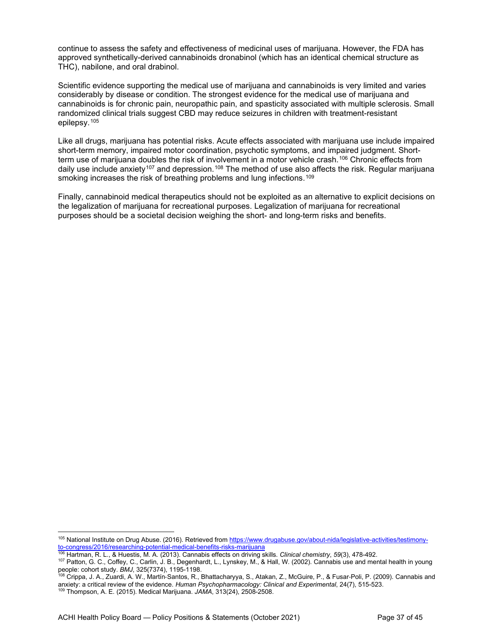continue to assess the safety and effectiveness of medicinal uses of marijuana. However, the FDA has approved synthetically-derived cannabinoids dronabinol (which has an identical chemical structure as THC), nabilone, and oral drabinol.

Scientific evidence supporting the medical use of marijuana and cannabinoids is very limited and varies considerably by disease or condition. The strongest evidence for the medical use of marijuana and cannabinoids is for chronic pain, neuropathic pain, and spasticity associated with multiple sclerosis. Small randomized clinical trials suggest CBD may reduce seizures in children with treatment-resistant epilepsy.[105](#page-36-0) 

Like all drugs, marijuana has potential risks. Acute effects associated with marijuana use include impaired short-term memory, impaired motor coordination, psychotic symptoms, and impaired judgment. Shortterm use of marijuana doubles the risk of involvement in a motor vehicle crash.[106](#page-36-1) Chronic effects from daily use include anxiety<sup>[107](#page-36-2)</sup> and depression.<sup>[108](#page-36-3)</sup> The method of use also affects the risk. Regular marijuana smoking increases the risk of breathing problems and lung infections.<sup>[109](#page-36-4)</sup>

Finally, cannabinoid medical therapeutics should not be exploited as an alternative to explicit decisions on the legalization of marijuana for recreational purposes. Legalization of marijuana for recreational purposes should be a societal decision weighing the short- and long-term risks and benefits.

<span id="page-36-0"></span><sup>105</sup> National Institute on Drug Abuse. (2016). Retrieved fro[m https://www.drugabuse.gov/about-nida/legislative-activities/testimony](https://www.drugabuse.gov/about-nida/legislative-activities/testimony-to-congress/2016/researching-potential-medical-benefits-risks-marijuana)[to-congress/2016/researching-potential-medical-benefits-risks-marijuana](https://www.drugabuse.gov/about-nida/legislative-activities/testimony-to-congress/2016/researching-potential-medical-benefits-risks-marijuana)

<sup>106</sup> Hartman, R. L., & Huestis, M. A. (2013). Cannabis effects on driving skills. *Clinical chemistry*, *59*(3), 478-492.

<span id="page-36-2"></span><span id="page-36-1"></span><sup>107</sup> Patton, G. C., Coffey, C., Carlin, J. B., Degenhardt, L., Lynskey, M., & Hall, W. (2002). Cannabis use and mental health in young people: cohort study. *BMJ*, 325(7374), 1195-1198.

<span id="page-36-3"></span><sup>108</sup> Crippa, J. A., Zuardi, A. W., Martín‐Santos, R., Bhattacharyya, S., Atakan, Z., McGuire, P., & Fusar‐Poli, P. (2009). Cannabis and anxiety: a critical review of the evidence. *Human Psychopharmacology: Clinical and Experimental*, 24(7), 515-523.

<span id="page-36-4"></span><sup>109</sup> Thompson, A. E. (2015). Medical Marijuana. *JAMA*, 313(24), 2508-2508.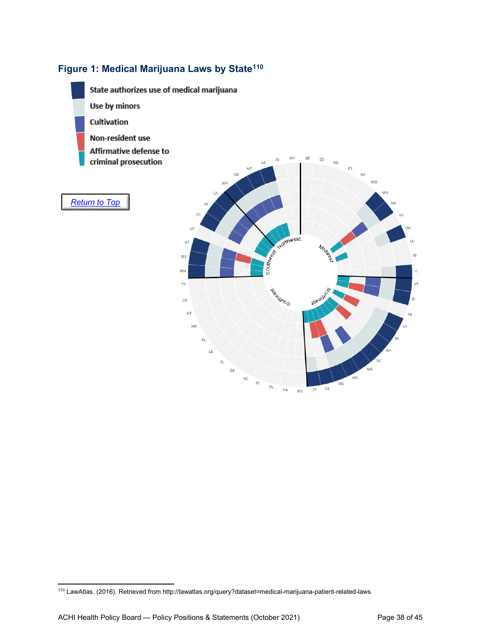## **Figure 1: Medical Marijuana Laws by State[110](#page-37-0)**



<span id="page-37-0"></span><sup>110</sup> LawAtlas. (2016). Retrieved from http://lawatlas.org/query?dataset=medical-marijuana-patient-related-laws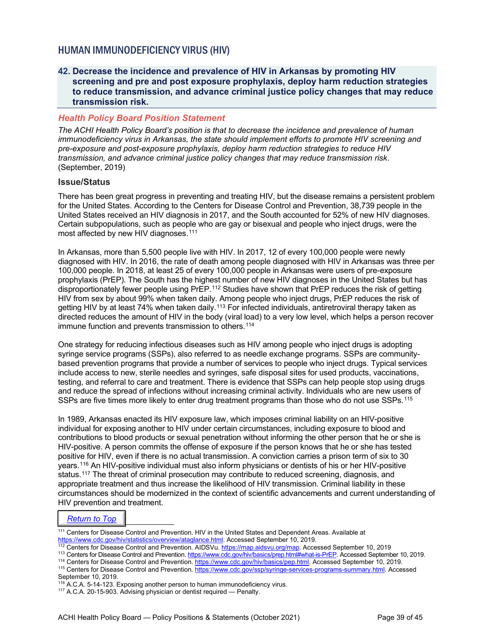## <span id="page-38-0"></span>HUMAN IMMUNODEFICIENCY VIRUS (HIV)

#### <span id="page-38-1"></span>**42. Decrease the incidence and prevalence of HIV in Arkansas by promoting HIV screening and pre and post exposure prophylaxis, deploy harm reduction strategies to reduce transmission, and advance criminal justice policy changes that may reduce transmission risk.**

#### *Health Policy Board Position Statement*

*The ACHI Health Policy Board's position is that to decrease the incidence and prevalence of human immunodeficiency virus in Arkansas, the state should implement efforts to promote HIV screening and pre-exposure and post-exposure prophylaxis, deploy harm reduction strategies to reduce HIV transmission, and advance criminal justice policy changes that may reduce transmission risk*. (September, 2019)

#### **Issue/Status**

There has been great progress in preventing and treating HIV, but the disease remains a persistent problem for the United States. According to the Centers for Disease Control and Prevention, 38,739 people in the United States received an HIV diagnosis in 2017, and the South accounted for 52% of new HIV diagnoses. Certain subpopulations, such as people who are gay or bisexual and people who inject drugs, were the most affected by new HIV diagnoses.<sup>[111](#page-38-2)</sup>

In Arkansas, more than 5,500 people live with HIV. In 2017, 12 of every 100,000 people were newly diagnosed with HIV. In 2016, the rate of death among people diagnosed with HIV in Arkansas was three per 100,000 people. In 2018, at least 25 of every 100,000 people in Arkansas were users of pre-exposure prophylaxis (PrEP). The South has the highest number of new HIV diagnoses in the United States but has disproportionately fewer people using PrEP.[112](#page-38-3) Studies have shown that PrEP reduces the risk of getting HIV from sex by about 99% when taken daily. Among people who inject drugs, PrEP reduces the risk of getting HIV by at least 74% when taken daily.[113](#page-38-4) For infected individuals, antiretroviral therapy taken as directed reduces the amount of HIV in the body (viral load) to a very low level, which helps a person recover immune function and prevents transmission to others.<sup>[114](#page-38-5)</sup>

One strategy for reducing infectious diseases such as HIV among people who inject drugs is adopting syringe service programs (SSPs), also referred to as needle exchange programs. SSPs are communitybased prevention programs that provide a number of services to people who inject drugs. Typical services include access to new, sterile needles and syringes, safe disposal sites for used products, vaccinations, testing, and referral to care and treatment. There is evidence that SSPs can help people stop using drugs and reduce the spread of infections without increasing criminal activity. Individuals who are new users of SSPs are five times more likely to enter drug treatment programs than those who do not use SSPs.<sup>[115](#page-38-6)</sup>

In 1989, Arkansas enacted its HIV exposure law, which imposes criminal liability on an HIV-positive individual for exposing another to HIV under certain circumstances, including exposure to blood and contributions to blood products or sexual penetration without informing the other person that he or she is HIV-positive. A person commits the offense of exposure if the person knows that he or she has tested positive for HIV, even if there is no actual transmission. A conviction carries a prison term of six to 30 years.[116](#page-38-7) An HIV-positive individual must also inform physicians or dentists of his or her HIV-positive status.<sup>[117](#page-38-8)</sup> The threat of criminal prosecution may contribute to reduced screening, diagnosis, and appropriate treatment and thus increase the likelihood of HIV transmission. Criminal liability in these circumstances should be modernized in the context of scientific advancements and current understanding of HIV prevention and treatment.

#### *[Return to Top](#page-0-0)*

<span id="page-38-2"></span>111 Centers for Disease Control and Prevention. HIV in the United States and Dependent Areas. Available at [https://www.cdc.gov/hiv/statistics/overview/ataglance.html.](https://www.cdc.gov/hiv/statistics/overview/ataglance.html) Accessed September 10, 2019.

- <span id="page-38-5"></span>114 Centers for Disease Control and Prevention. [https://www.cdc.gov/hiv/basics/pep.html.](https://www.cdc.gov/hiv/basics/pep.html) Accessed September 10, 2019.
- <span id="page-38-6"></span><sup>115</sup> Centers for Disease Control and Prevention. [https://www.cdc.gov/ssp/syringe-services-programs-summary.html.](https://www.cdc.gov/ssp/syringe-services-programs-summary.html) Accessed

<sup>&</sup>lt;sup>112</sup> Centers for Disease Control and Prevention. AIDSVu. <u>https://map.aidsvu.org/map</u>. Accessed September 10, 2019

<span id="page-38-4"></span><span id="page-38-3"></span><sup>113</sup> Centers for Disease Control and Prevention. [https://www.cdc.gov/hiv/basics/prep.html#what-is-PrEP.](https://www.cdc.gov/hiv/basics/prep.html#what-is-PrEP) Accessed September 10, 2019.

September 10, 2019.

<span id="page-38-7"></span><sup>&</sup>lt;sup>116</sup> A.C.A. 5-14-123. Exposing another person to human immunodeficiency virus.

<span id="page-38-8"></span><sup>&</sup>lt;sup>117</sup> A.C.A. 20-15-903. Advising physician or dentist required — Penalty.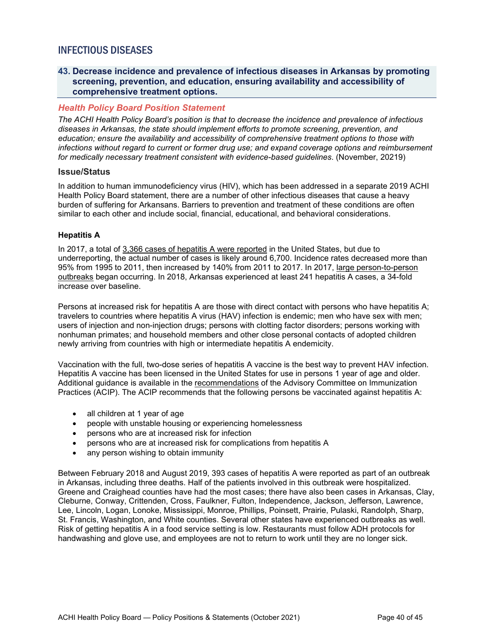## <span id="page-39-0"></span>INFECTIOUS DISEASES

#### <span id="page-39-1"></span>**43. Decrease incidence and prevalence of infectious diseases in Arkansas by promoting screening, prevention, and education, ensuring availability and accessibility of comprehensive treatment options.**

#### *Health Policy Board Position Statement*

*The ACHI Health Policy Board's position is that to decrease the incidence and prevalence of infectious diseases in Arkansas, the state should implement efforts to promote screening, prevention, and education; ensure the availability and accessibility of comprehensive treatment options to those with infections without regard to current or former drug use; and expand coverage options and reimbursement for medically necessary treatment consistent with evidence-based guidelines*. (November, 20219)

#### **Issue/Status**

In addition to human immunodeficiency virus (HIV), which has been addressed in a separate 2019 ACHI Health Policy Board statement, there are a number of other infectious diseases that cause a heavy burden of suffering for Arkansans. Barriers to prevention and treatment of these conditions are often similar to each other and include social, financial, educational, and behavioral considerations.

#### **Hepatitis A**

In 2017, a total of [3,366 cases of hepatitis A were reported](https://www.cdc.gov/hepatitis/statistics/2017surveillance/index.htm#hepatitisA) in the United States, but due to underreporting, the actual number of cases is likely around 6,700. Incidence rates decreased more than 95% from 1995 to 2011, then increased by 140% from 2011 to 2017. In 2017, [large person-to-person](https://www.cdc.gov/hepatitis/outbreaks/2017March-HepatitisA.htm)  [outbreaks](https://www.cdc.gov/hepatitis/outbreaks/2017March-HepatitisA.htm) began occurring. In 2018, Arkansas experienced at least 241 hepatitis A cases, a 34-fold increase over baseline.

Persons at increased risk for hepatitis A are those with direct contact with persons who have hepatitis A; travelers to countries where hepatitis A virus (HAV) infection is endemic; men who have sex with men; users of injection and non-injection drugs; persons with clotting factor disorders; persons working with nonhuman primates; and household members and other close personal contacts of adopted children newly arriving from countries with high or intermediate hepatitis A endemicity.

Vaccination with the full, two-dose series of hepatitis A vaccine is the best way to prevent HAV infection. Hepatitis A vaccine has been licensed in the United States for use in persons 1 year of age and older. Additional guidance is available in the [recommendations](https://www.cdc.gov/mmwr/preview/mmwrhtml/rr5507a1.htm) of the Advisory Committee on Immunization Practices (ACIP). The ACIP recommends that the following persons be vaccinated against hepatitis A:

- all children at 1 year of age
- people with unstable housing or experiencing homelessness
- persons who are at increased risk for infection
- persons who are at increased risk for complications from hepatitis A
- any person wishing to obtain immunity

Between February 2018 and August 2019, 393 cases of hepatitis A were reported as part of an outbreak in Arkansas, including three deaths. Half of the patients involved in this outbreak were hospitalized. Greene and Craighead counties have had the most cases; there have also been cases in Arkansas, Clay, Cleburne, Conway, Crittenden, Cross, Faulkner, Fulton, Independence, Jackson, Jefferson, Lawrence, Lee, Lincoln, Logan, Lonoke, Mississippi, Monroe, Phillips, Poinsett, Prairie, Pulaski, Randolph, Sharp, St. Francis, Washington, and White counties. Several other states have experienced outbreaks as well. Risk of getting hepatitis A in a food service setting is low. Restaurants must follow ADH protocols for handwashing and glove use, and employees are not to return to work until they are no longer sick.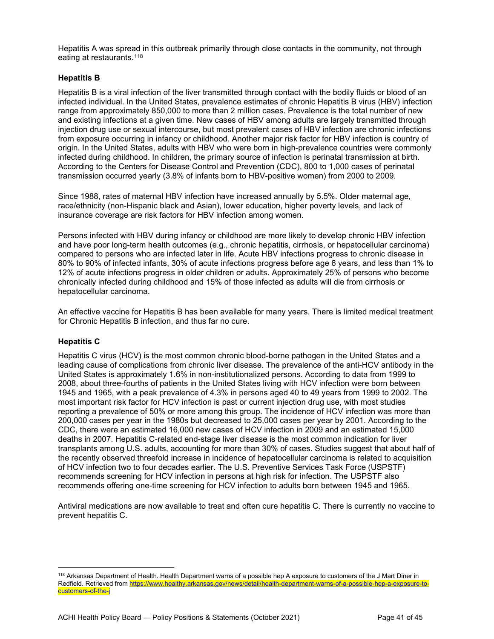Hepatitis A was spread in this outbreak primarily through close contacts in the community, not through eating at restaurants.<sup>[118](#page-40-0)</sup>

#### **Hepatitis B**

Hepatitis B is a viral infection of the liver transmitted through contact with the bodily fluids or blood of an infected individual. In the United States, prevalence estimates of chronic Hepatitis B virus (HBV) infection range from approximately 850,000 to more than 2 million cases. Prevalence is the total number of new and existing infections at a given time. New cases of HBV among adults are largely transmitted through injection drug use or sexual intercourse, but most prevalent cases of HBV infection are chronic infections from exposure occurring in infancy or childhood. Another major risk factor for HBV infection is country of origin. In the United States, adults with HBV who were born in high-prevalence countries were commonly infected during childhood. In children, the primary source of infection is perinatal transmission at birth. According to the Centers for Disease Control and Prevention (CDC), 800 to 1,000 cases of perinatal transmission occurred yearly (3.8% of infants born to HBV-positive women) from 2000 to 2009.

Since 1988, rates of maternal HBV infection have increased annually by 5.5%. Older maternal age, race/ethnicity (non-Hispanic black and Asian), lower education, higher poverty levels, and lack of insurance coverage are risk factors for HBV infection among women.

Persons infected with HBV during infancy or childhood are more likely to develop chronic HBV infection and have poor long-term health outcomes (e.g., chronic hepatitis, cirrhosis, or hepatocellular carcinoma) compared to persons who are infected later in life. Acute HBV infections progress to chronic disease in 80% to 90% of infected infants, 30% of acute infections progress before age 6 years, and less than 1% to 12% of acute infections progress in older children or adults. Approximately 25% of persons who become chronically infected during childhood and 15% of those infected as adults will die from cirrhosis or hepatocellular carcinoma.

An effective vaccine for Hepatitis B has been available for many years. There is limited medical treatment for Chronic Hepatitis B infection, and thus far no cure.

#### **Hepatitis C**

Hepatitis C virus (HCV) is the most common chronic blood-borne pathogen in the United States and a leading cause of complications from chronic liver disease. The prevalence of the anti-HCV antibody in the United States is approximately 1.6% in non-institutionalized persons. According to data from 1999 to 2008, about three-fourths of patients in the United States living with HCV infection were born between 1945 and 1965, with a peak prevalence of 4.3% in persons aged 40 to 49 years from 1999 to 2002. The most important risk factor for HCV infection is past or current injection drug use, with most studies reporting a prevalence of 50% or more among this group. The incidence of HCV infection was more than 200,000 cases per year in the 1980s but decreased to 25,000 cases per year by 2001. According to the CDC, there were an estimated 16,000 new cases of HCV infection in 2009 and an estimated 15,000 deaths in 2007. Hepatitis C-related end-stage liver disease is the most common indication for liver transplants among U.S. adults, accounting for more than 30% of cases. Studies suggest that about half of the recently observed threefold increase in incidence of hepatocellular carcinoma is related to acquisition of HCV infection two to four decades earlier. The U.S. Preventive Services Task Force (USPSTF) recommends screening for HCV infection in persons at high risk for infection. The USPSTF also recommends offering one-time screening for HCV infection to adults born between 1945 and 1965.

Antiviral medications are now available to treat and often cure hepatitis C. There is currently no vaccine to prevent hepatitis C.

<span id="page-40-0"></span><sup>&</sup>lt;sup>118</sup> Arkansas Department of Health. Health Department warns of a possible hep A exposure to customers of the J Mart Diner in Redfield. Retrieved from https://www.healthy.arkansas.gov/news/detail/health-department-warns-of-a-possible-hep-a-exposure-tocustomers-of-the-j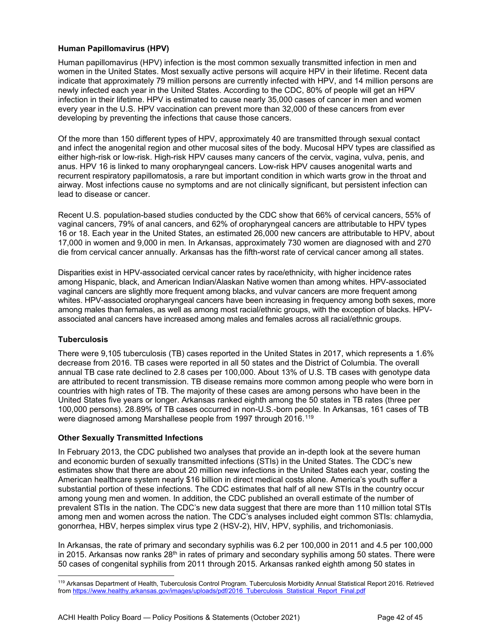#### **Human Papillomavirus (HPV)**

Human papillomavirus (HPV) infection is the most common sexually transmitted infection in men and women in the United States. Most sexually active persons will acquire HPV in their lifetime. Recent data indicate that approximately 79 million persons are currently infected with HPV, and 14 million persons are newly infected each year in the United States. According to the CDC, 80% of people will get an HPV infection in their lifetime. HPV is estimated to cause nearly 35,000 cases of cancer in men and women every year in the U.S. HPV vaccination can prevent more than 32,000 of these cancers from ever developing by preventing the infections that cause those cancers.

Of the more than 150 different types of HPV, approximately 40 are transmitted through sexual contact and infect the anogenital region and other mucosal sites of the body. Mucosal HPV types are classified as either high-risk or low-risk. High-risk HPV causes many cancers of the cervix, vagina, vulva, penis, and anus. HPV 16 is linked to many oropharyngeal cancers. Low-risk HPV causes anogenital warts and recurrent respiratory papillomatosis, a rare but important condition in which warts grow in the throat and airway. Most infections cause no symptoms and are not clinically significant, but persistent infection can lead to disease or cancer.

Recent U.S. population-based studies conducted by the CDC show that 66% of cervical cancers, 55% of vaginal cancers, 79% of anal cancers, and 62% of oropharyngeal cancers are attributable to HPV types 16 or 18. Each year in the United States, an estimated 26,000 new cancers are attributable to HPV, about 17,000 in women and 9,000 in men. In Arkansas, approximately 730 women are diagnosed with and 270 die from cervical cancer annually. Arkansas has the fifth-worst rate of cervical cancer among all states.

Disparities exist in HPV-associated cervical cancer rates by race/ethnicity, with higher incidence rates among Hispanic, black, and American Indian/Alaskan Native women than among whites. HPV-associated vaginal cancers are slightly more frequent among blacks, and vulvar cancers are more frequent among whites. HPV-associated oropharyngeal cancers have been increasing in frequency among both sexes, more among males than females, as well as among most racial/ethnic groups, with the exception of blacks. HPVassociated anal cancers have increased among males and females across all racial/ethnic groups.

#### **Tuberculosis**

There were 9,105 tuberculosis (TB) cases reported in the United States in 2017, which represents a 1.6% decrease from 2016. TB cases were reported in all 50 states and the District of Columbia. The overall annual TB case rate declined to 2.8 cases per 100,000. About 13% of U.S. TB cases with genotype data are attributed to recent transmission. TB disease remains more common among people who were born in countries with high rates of TB. The majority of these cases are among persons who have been in the United States five years or longer. Arkansas ranked eighth among the 50 states in TB rates (three per 100,000 persons). 28.89% of TB cases occurred in non-U.S.-born people. In Arkansas, 161 cases of TB were diagnosed among Marshallese people from 1997 through 2016.<sup>[119](#page-41-0)</sup>

#### **Other Sexually Transmitted Infections**

In February 2013, the CDC published two analyses that provide an in-depth look at the severe human and economic burden of sexually transmitted infections (STIs) in the United States. The CDC's new estimates show that there are about 20 million new infections in the United States each year, costing the American healthcare system nearly \$16 billion in direct medical costs alone. America's youth suffer a substantial portion of these infections. The CDC estimates that half of all new STIs in the country occur among young men and women. In addition, the CDC published an overall estimate of the number of prevalent STIs in the nation. The CDC's new data suggest that there are more than 110 million total STIs among men and women across the nation. The CDC's analyses included eight common STIs: chlamydia, gonorrhea, HBV, herpes simplex virus type 2 (HSV-2), HIV, HPV, syphilis, and trichomoniasis.

In Arkansas, the rate of primary and secondary syphilis was 6.2 per 100,000 in 2011 and 4.5 per 100,000 in 2015. Arkansas now ranks  $28<sup>th</sup>$  in rates of primary and secondary syphilis among 50 states. There were 50 cases of congenital syphilis from 2011 through 2015. Arkansas ranked eighth among 50 states in

<span id="page-41-0"></span><sup>119</sup> Arkansas Department of Health, Tuberculosis Control Program. Tuberculosis Morbidity Annual Statistical Report 2016. Retrieved fro[m https://www.healthy.arkansas.gov/images/uploads/pdf/2016\\_Tuberculosis\\_Statistical\\_Report\\_Final.pdf](https://www.healthy.arkansas.gov/images/uploads/pdf/2016_Tuberculosis_Statistical_Report_Final.pdf)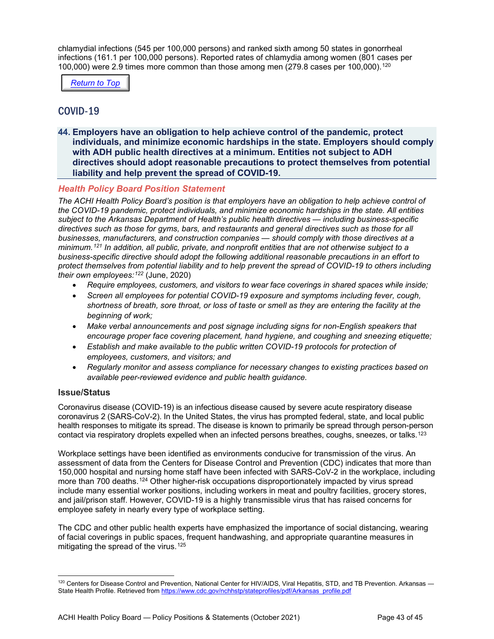chlamydial infections (545 per 100,000 persons) and ranked sixth among 50 states in gonorrheal infections (161.1 per 100,000 persons). Reported rates of chlamydia among women (801 cases per 100,000) were 2.9 times more common than those among men (279.8 cases per 100,000).[120](#page-42-2)

*[Return to Top](#page-0-0)*

## <span id="page-42-0"></span>COVID-19

<span id="page-42-1"></span>**44. Employers have an obligation to help achieve control of the pandemic, protect individuals, and minimize economic hardships in the state. Employers should comply with ADH public health directives at a minimum. Entities not subject to ADH directives should adopt reasonable precautions to protect themselves from potential liability and help prevent the spread of COVID-19.**

#### *Health Policy Board Position Statement*

*The ACHI Health Policy Board's position is that employers have an obligation to help achieve control of the COVID-19 pandemic, protect individuals, and minimize economic hardships in the state. All entities subject to the Arkansas Department of Health's public health directives — including business-specific directives such as those for gyms, bars, and restaurants and general directives such as those for all businesses, manufacturers, and construction companies — should comply with those directives at a minimum.[121](#page-43-0) In addition, all public, private, and nonprofit entities that are not otherwise subject to a business-specific directive should adopt the following additional reasonable precautions in an effort to protect themselves from potential liability and to help prevent the spread of COVID-19 to others including their own employees:[122](#page-43-1)* (June, 2020)

- *Require employees, customers, and visitors to wear face coverings in shared spaces while inside;*
- *Screen all employees for potential COVID-19 exposure and symptoms including fever, cough, shortness of breath, sore throat, or loss of taste or smell as they are entering the facility at the beginning of work;*
- Make verbal announcements and post signage including signs for non-English speakers that *encourage proper face covering placement, hand hygiene, and coughing and sneezing etiquette;*
- *Establish and make available to the public written COVID-19 protocols for protection of employees, customers, and visitors; and*
- *Regularly monitor and assess compliance for necessary changes to existing practices based on available peer-reviewed evidence and public health guidance.*

#### **Issue/Status**

Coronavirus disease (COVID-19) is an infectious disease caused by severe acute respiratory disease coronavirus 2 (SARS-CoV-2). In the United States, the virus has prompted federal, state, and local public health responses to mitigate its spread. The disease is known to primarily be spread through person-person contact via respiratory droplets expelled when an infected persons breathes, coughs, sneezes, or talks.<sup>[123](#page-43-2)</sup>

Workplace settings have been identified as environments conducive for transmission of the virus. An assessment of data from the Centers for Disease Control and Prevention (CDC) indicates that more than 150,000 hospital and nursing home staff have been infected with SARS-CoV-2 in the workplace, including more than 700 deaths.<sup>[124](#page-43-3)</sup> Other higher-risk occupations disproportionately impacted by virus spread include many essential worker positions, including workers in meat and poultry facilities, grocery stores, and jail/prison staff. However, COVID-19 is a highly transmissible virus that has raised concerns for employee safety in nearly every type of workplace setting.

The CDC and other public health experts have emphasized the importance of social distancing, wearing of facial coverings in public spaces, frequent handwashing, and appropriate quarantine measures in mitigating the spread of the virus.<sup>[125](#page-43-4)</sup>

<span id="page-42-2"></span><sup>120</sup> Centers for Disease Control and Prevention, National Center for HIV/AIDS, Viral Hepatitis, STD, and TB Prevention. Arkansas State Health Profile. Retrieved from [https://www.cdc.gov/nchhstp/stateprofiles/pdf/Arkansas\\_profile.pdf](https://www.cdc.gov/nchhstp/stateprofiles/pdf/Arkansas_profile.pdf)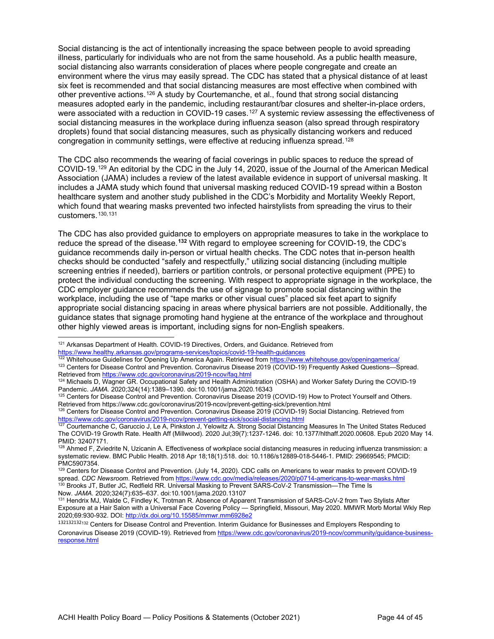Social distancing is the act of intentionally increasing the space between people to avoid spreading illness, particularly for individuals who are not from the same household. As a public health measure, social distancing also warrants consideration of places where people congregate and create an environment where the virus may easily spread. The CDC has stated that a physical distance of at least six feet is recommended and that social distancing measures are most effective when combined with other preventive actions.[126](#page-43-5) A study by Courtemanche, et al., found that strong social distancing measures adopted early in the pandemic, including restaurant/bar closures and shelter-in-place orders, were associated with a reduction in COVID-19 cases.<sup>[127](#page-43-6)</sup> A systemic review assessing the effectiveness of social distancing measures in the workplace during influenza season (also spread through respiratory droplets) found that social distancing measures, such as physically distancing workers and reduced congregation in community settings, were effective at reducing influenza spread.[128](#page-43-7)

The CDC also recommends the wearing of facial coverings in public spaces to reduce the spread of COVID-19.[129](#page-43-8) An editorial by the CDC in the July 14, 2020, issue of the Journal of the American Medical Association (JAMA) includes a review of the latest available evidence in support of universal masking. It includes a JAMA study which found that universal masking reduced COVID-19 spread within a Boston healthcare system and another study published in the CDC's Morbidity and Mortality Weekly Report, which found that wearing masks prevented two infected hairstylists from spreading the virus to their customers.[130](#page-43-9),[131](#page-43-10)

The CDC has also provided guidance to employers on appropriate measures to take in the workplace to reduce the spread of the disease.**[132](#page-43-11)** With regard to employee screening for COVID-19, the CDC's guidance recommends daily in-person or virtual health checks. The CDC notes that in-person health checks should be conducted "safely and respectfully," utilizing social distancing (including multiple screening entries if needed), barriers or partition controls, or personal protective equipment (PPE) to protect the individual conducting the screening. With respect to appropriate signage in the workplace, the CDC employer guidance recommends the use of signage to promote social distancing within the workplace, including the use of "tape marks or other visual cues" placed six feet apart to signify appropriate social distancing spacing in areas where physical barriers are not possible. Additionally, the guidance states that signage promoting hand hygiene at the entrance of the workplace and throughout other highly viewed areas is important, including signs for non-English speakers.

<span id="page-43-9"></span><sup>130</sup> Brooks JT, Butler JC, Redfield RR. Universal Masking to Prevent SARS-CoV-2 Transmission—The Time Is Now. *JAMA.* 2020;324(7):635–637. doi:10.1001/jama.2020.13107

<span id="page-43-0"></span><sup>&</sup>lt;sup>121</sup> Arkansas Department of Health. COVID-19 Directives, Orders, and Guidance. Retrieved from <https://www.healthy.arkansas.gov/programs-services/topics/covid-19-health-guidances>

<span id="page-43-1"></span><sup>&</sup>lt;sup>122</sup> Whitehouse Guidelines for Opening Up America Again. Retrieved from <u>https://www.whitehouse.gov/openingamerica/</u>

<span id="page-43-2"></span><sup>123</sup> Centers for Disease Control and Prevention. Coronavirus Disease 2019 (COVID-19) Frequently Asked Questions—Spread. Retrieved fro[m https://www.cdc.gov/coronavirus/2019-ncov/faq.html](https://www.cdc.gov/coronavirus/2019-ncov/faq.html)

<span id="page-43-3"></span><sup>124</sup> Michaels D, Wagner GR. Occupational Safety and Health Administration (OSHA) and Worker Safety During the COVID-19 Pandemic. *JAMA.* 2020;324(14):1389–1390. doi:10.1001/jama.2020.16343

<span id="page-43-4"></span><sup>&</sup>lt;sup>125</sup> Centers for Disease Control and Prevention. Coronavirus Disease 2019 (COVID-19) How to Protect Yourself and Others. Retrieved from https://www.cdc.gov/coronavirus/2019-ncov/prevent-getting-sick/prevention.html

<span id="page-43-5"></span><sup>126</sup> Centers for Disease Control and Prevention. Coronavirus Disease 2019 (COVID-19) Social Distancing. Retrieved from https://www.cdc.gov/coronavirus/2019-ncov/prevent-getting-sick/social-distancing.html<br>127 Courtemanche C, Garuccio J, Le A, Pinkston J, Yelowitz A. Strong Social Distancing Measures In The United States Reduced

<span id="page-43-6"></span>The COVID-19 Growth Rate. Health Aff (Millwood). 2020 Jul;39(7):1237-1246. doi: 10.1377/hlthaff.2020.00608. Epub 2020 May 14. PMID: 32407171.

<span id="page-43-7"></span><sup>128</sup> Ahmed F, Zviedrite N, Uzicanin A. Effectiveness of workplace social distancing measures in reducing influenza transmission: a systematic review. BMC Public Health. 2018 Apr 18;18(1):518. doi: 10.1186/s12889-018-5446-1. PMID: 29669545; PMCID: PMC5907354.

<span id="page-43-8"></span><sup>&</sup>lt;sup>129</sup> Centers for Disease Control and Prevention. (July 14, 2020). CDC calls on Americans to wear masks to prevent COVID-19 spread. *CDC Newsroom*. Retrieved from<https://www.cdc.gov/media/releases/2020/p0714-americans-to-wear-masks.html>

<span id="page-43-10"></span><sup>131</sup> Hendrix MJ, Walde C, Findley K, Trotman R. Absence of Apparent Transmission of SARS-CoV-2 from Two Stylists After Exposure at a Hair Salon with a Universal Face Covering Policy — Springfield, Missouri, May 2020. MMWR Morb Mortal Wkly Rep 2020;69:930-932. DOI: <http://dx.doi.org/10.15585/mmwr.mm6928e2>

<span id="page-43-11"></span><sup>132132132</sup><sup>132</sup> Centers for Disease Control and Prevention. Interim Guidance for Businesses and Employers Responding to Coronavirus Disease 2019 (COVID-19). Retrieved from [https://www.cdc.gov/coronavirus/2019-ncov/community/guidance-business](https://www.cdc.gov/coronavirus/2019-ncov/community/guidance-business-response.html)[response.html](https://www.cdc.gov/coronavirus/2019-ncov/community/guidance-business-response.html)